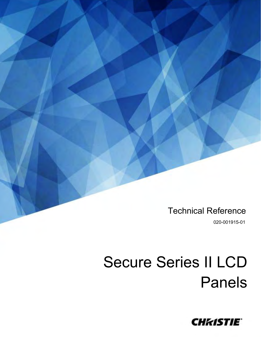Technical Reference

020-001915-01

# Secure Series II LCD Panels

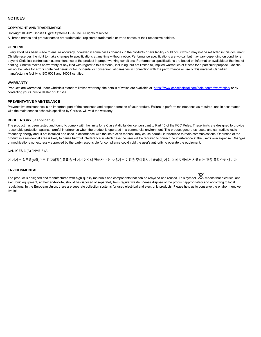#### **NOTICES**

#### **COPYRIGHT AND TRADEMARKS**

Copyright © 2021 Christie Digital Systems USA, Inc. All rights reserved.

All brand names and product names are trademarks, registered trademarks or trade names of their respective holders.

#### **GENERAL**

Every effort has been made to ensure accuracy, however in some cases changes in the products or availability could occur which may not be reflected in this document. Christie reserves the right to make changes to specifications at any time without notice. Performance specifications are typical, but may vary depending on conditions beyond Christie's control such as maintenance of the product in proper working conditions. Performance specifications are based on information available at the time of printing. Christie makes no warranty of any kind with regard to this material, including, but not limited to, implied warranties of fitness for a particular purpose. Christie will not be liable for errors contained herein or for incidental or consequential damages in connection with the performance or use of this material. Canadian manufacturing facility is ISO 9001 and 14001 certified.

#### **WARRANTY**

Products are warranted under Christie's standard limited warranty, the details of which are available at <https://www.christiedigital.com/help-center/warranties/> or by contacting your Christie dealer or Christie.

#### **PREVENTATIVE MAINTENANCE**

Preventative maintenance is an important part of the continued and proper operation of your product. Failure to perform maintenance as required, and in accordance with the maintenance schedule specified by Christie, will void the warranty.

#### **REGULATORY (if applicable)**

The product has been tested and found to comply with the limits for a Class A digital device, pursuant to Part 15 of the FCC Rules. These limits are designed to provide reasonable protection against harmful interference when the product is operated in a commercial environment. The product generates, uses, and can radiate radio frequency energy and, if not installed and used in accordance with the instruction manual, may cause harmful interference to radio communications. Operation of the product in a residential area is likely to cause harmful interference in which case the user will be required to correct the interference at the user's own expense. Changes or modifications not expressly approved by the party responsible for compliance could void the user's authority to operate the equipment**.**

#### CAN ICES-3 (A) / NMB-3 (A)

이 기기는 업무용(A급)으로 전자파적합등록을 한 기기이오니 판매자 또는 사용자는 이점을 주의하시기 바라며, 가정 외의 지역에서 사용하는 것을 목적으로 합니다.

#### **ENVIRONMENTAL**

The product is designed and manufactured with high-quality materials and components that can be recycled and reused. This symbol  $\bigtimes$  means that electrical and electronic equipment, at their end-of-life, should be disposed of separately from regular waste. Please dispose of the product appropriately and according to local regulations. In the European Union, there are separate collection systems for used electrical and electronic products. Please help us to conserve the environment we live in!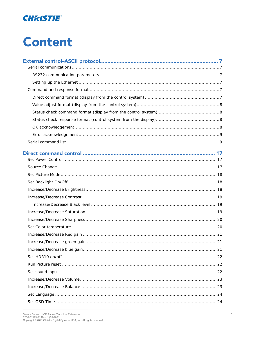

# **Content**

| Direct command control ………………………………………………………………………… 17 |  |
|--------------------------------------------------------|--|
|                                                        |  |
|                                                        |  |
|                                                        |  |
|                                                        |  |
|                                                        |  |
|                                                        |  |
|                                                        |  |
|                                                        |  |
|                                                        |  |
|                                                        |  |
|                                                        |  |
|                                                        |  |
|                                                        |  |
|                                                        |  |
|                                                        |  |
|                                                        |  |
|                                                        |  |
|                                                        |  |
|                                                        |  |
|                                                        |  |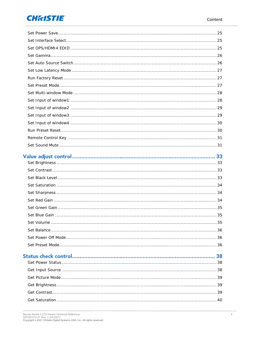### **CHRISTIE®**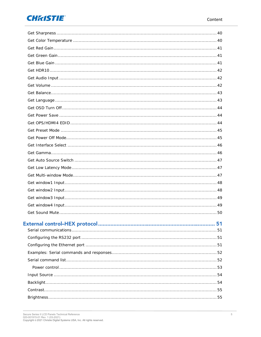### **CHRISTIE®**

|  | .51 |
|--|-----|
|  |     |
|  |     |
|  |     |
|  |     |
|  |     |
|  |     |
|  |     |
|  |     |
|  |     |
|  |     |
|  |     |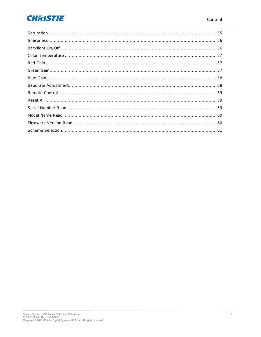### **CHRISTIE®**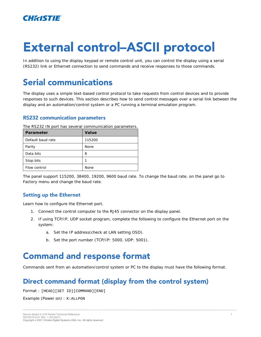

# **External control-ASCII protocol**

In addition to using the display keypad or remote control unit, you can control the display using a serial (RS232) link or Ethernet connection to send commands and receive responses to those commands.

### <span id="page-6-0"></span>**Serial communications**

The display uses a simple text-based control protocol to take requests from control devices and to provide responses to such devices. This section describes how to send control messages over a serial link between the display and an automation/control system or a PC running a terminal emulation program.

#### <span id="page-6-1"></span>**RS232 communication parameters**

| Parameter         | Value  |
|-------------------|--------|
| Default baud rate | 115200 |
| Parity            | None   |
| Data bits         | 8      |
| Stop bits         |        |
| Flow control      | None   |

The RS232 IN port has several communication parameters.

The panel support 115200, 38400, 19200, 9600 baud rate. To change the baud rate, on the panel go to Factory menu and change the baud rate.

#### <span id="page-6-2"></span>**Setting up the Ethernet**

Learn how to configure the Ethernet port.

- 1. Connect the control computer to the RJ45 connector on the display panel.
- 2. If using TCP/IP, UDP socket program, complete the following to configure the Ethernet port on the system:
	- a. Set the IP address(check at LAN setting OSD).
	- b. Set the port number (TCP/IP: 5000, UDP: 5001).

### <span id="page-6-3"></span>**Command and response format**

<span id="page-6-4"></span>Commands sent from an automation/control system or PC to the display must have the following format.

### Direct command format (display from the control system)

Format : [HEAD][SET ID][COMMAND][END]

Example (Power on) : K: ALLPON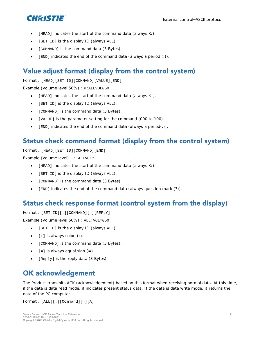

- [HEAD] indicates the start of the command data (always  $K:$  ).
- [SET ID] is the display ID (always ALL).
- [COMMAND] is the command data (3 Bytes).
- [END] indicates the end of the command data (always a period (.)).

### <span id="page-7-0"></span>Value adjust format (display from the control system)

#### Format : [HEAD][SET ID][COMMAND][VALUE][END]

Example (Volume level 50%) : K: ALLVOL050

- $[HEAD]$  indicates the start of the command data (always  $K:$  ).
- [SET ID] is the display ID (always ALL).
- [COMMAND] is the command data (3 Bytes).
- [VALUE] is the parameter setting for the command (000 to 100).
- [END] indicates the end of the command data (always a period(.)).

### <span id="page-7-1"></span>Status check command format (display from the control system)

Format : [HEAD][SET ID][COMMAND][END]

Example (Volume level) : K: ALLVOL?

- [HEAD] indicates the start of the command data (always K:).
- [SET ID] is the display ID (always ALL).
- [COMMAND] is the command data (3 Bytes).
- [END] indicates the end of the command data (always question mark (?)).

### <span id="page-7-2"></span>Status check response format (control system from the display)

Format : [SET ID][:][COMMAND][=][REPLY]

Example (Volume level 50%) : ALL:VOL=050

- [SET ID] is the display ID (always ALL).
- [: ] is always colon (: ).
- [COMMAND] is the command data (3 Bytes).
- $\bullet$  [=] is always equal sign  $(=)$ .
- [Reply] is the reply data (3 Bytes).

### <span id="page-7-3"></span>**OK acknowledgement**

The Product transmits ACK (acknowledgement) based on this format when receiving normal data. At this time, if the data is data read mode, it indicates present status data. If the data is data write mode, it returns the data of the PC computer.

Format : [ALL][:][Command][=][A]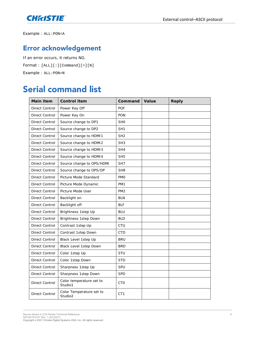

<span id="page-8-0"></span>Example : ALL:PON=A

### **Error acknowledgement**

If an error occurs, it returns NG. Format : [ALL][:][Command][=][N] Example : ALL:PON=N

### <span id="page-8-1"></span>**Serial command list**

| Main item      | Control item                        | Command         | Value | Reply |
|----------------|-------------------------------------|-----------------|-------|-------|
| Direct Control | Power Key Off                       | POF             |       |       |
| Direct Control | Power Key On                        | PON             |       |       |
| Direct Control | Source change to DP1                | SH <sub>0</sub> |       |       |
| Direct Control | Source change to DP2                | SH <sub>1</sub> |       |       |
| Direct Control | Source change to HDMI1              | SH <sub>2</sub> |       |       |
| Direct Control | Source change to HDMI2              | SH <sub>3</sub> |       |       |
| Direct Control | Source change to HDMI3              | SH4             |       |       |
| Direct Control | Source change to HDMI4              | SH <sub>5</sub> |       |       |
| Direct Control | Source change to OPS/HDMI           | SH7             |       |       |
| Direct Control | Source change to OPS/DP             | SH <sub>8</sub> |       |       |
| Direct Control | Picture Mode Standard               | <b>PMO</b>      |       |       |
| Direct Control | Picture Mode Dynamic                | PM1             |       |       |
| Direct Control | Picture Mode User                   | PM <sub>2</sub> |       |       |
| Direct Control | Backlight on                        | <b>BLN</b>      |       |       |
| Direct Control | Backlight off                       | <b>BLF</b>      |       |       |
| Direct Control | Brightness 1step Up                 | <b>BLU</b>      |       |       |
| Direct Control | Brightness 1step Down               | <b>BLD</b>      |       |       |
| Direct Control | Contrast 1step Up                   | CTU             |       |       |
| Direct Control | Contrast 1step Down                 | <b>CTD</b>      |       |       |
| Direct Control | Black Level 1step Up                | <b>BRU</b>      |       |       |
| Direct Control | Black Level 1step Down              | <b>BRD</b>      |       |       |
| Direct Control | Color 1step Up                      | STU             |       |       |
| Direct Control | Color 1step Down                    | <b>STD</b>      |       |       |
| Direct Control | Sharpness 1step Up                  | <b>SPU</b>      |       |       |
| Direct Control | Sharpness 1step Down                | <b>SPD</b>      |       |       |
| Direct Control | Color temperature set to<br>Studio1 | <b>CTO</b>      |       |       |
| Direct Control | Color Temperature set to<br>Studio2 | CT1             |       |       |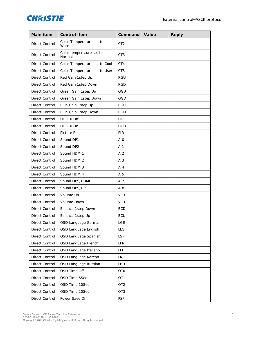

| Main item             | Control item                       | Command         | Value | Reply |
|-----------------------|------------------------------------|-----------------|-------|-------|
| <b>Direct Control</b> | Color Temperature set to<br>Warm   | CT <sub>2</sub> |       |       |
| Direct Control        | Color temperature set to<br>Normal | CT <sub>3</sub> |       |       |
| Direct Control        | Color Temperature set to Cool      | CT4             |       |       |
| Direct Control        | Color Temperature set to User      | CT5             |       |       |
| Direct Control        | Red Gain 1step Up                  | RGU             |       |       |
| Direct Control        | Red Gain 1step Down                | <b>RGD</b>      |       |       |
| Direct Control        | Green Gain 1step Up                | GGU             |       |       |
| Direct Control        | Green Gain 1step Down              | GGD             |       |       |
| Direct Control        | Blue Gain 1step Up                 | <b>BGU</b>      |       |       |
| Direct Control        | Blue Gain 1step Down               | <b>BGD</b>      |       |       |
| Direct Control        | HDR10 Off                          | <b>HDF</b>      |       |       |
| <b>Direct Control</b> | HDR10 On                           | <b>HDO</b>      |       |       |
| Direct Control        | Picture Reset                      | <b>PIR</b>      |       |       |
| Direct Control        | Sound DP1                          | AI <sub>0</sub> |       |       |
| Direct Control        | Sound DP2                          | AI1             |       |       |
| Direct Control        | Sound HDMI1                        | AI2             |       |       |
| Direct Control        | Sound HDMI2                        | AI3             |       |       |
| Direct Control        | Sound HDMI3                        | AI4             |       |       |
| Direct Control        | Sound HDMI4                        | AI <sub>5</sub> |       |       |
| Direct Control        | Sound OPS/HDMI                     | AI7             |       |       |
| Direct Control        | Sound OPS/DP                       | AI8             |       |       |
| Direct Control        | Volume Up                          | VLU             |       |       |
| Direct Control        | Volume Down                        | VLD             |       |       |
| Direct Control        | Balance 1step Down                 | <b>BCD</b>      |       |       |
| Direct Control        | Balance 1step Up                   | <b>BCU</b>      |       |       |
| Direct Control        | OSD Language German                | LGE             |       |       |
| Direct Control        | OSD Language English               | <b>LES</b>      |       |       |
| Direct Control        | OSD Language Spanish               | <b>LSP</b>      |       |       |
| Direct Control        | OSD Language French                | LFR             |       |       |
| Direct Control        | OSD Language Italiano              | <b>LIT</b>      |       |       |
| Direct Control        | OSD Language Korean                | <b>LKR</b>      |       |       |
| Direct Control        | OSD Language Russian               | LRU             |       |       |
| Direct Control        | OSD Time Off                       | <b>OTO</b>      |       |       |
| Direct Control        | OSD Time 5Sec                      | OT1             |       |       |
| Direct Control        | OSD Time 10Sec                     | OT <sub>2</sub> |       |       |
| Direct Control        | OSD Time 20Sec                     | OT <sub>3</sub> |       |       |
| Direct Control        | Power Save Off                     | <b>PSF</b>      |       |       |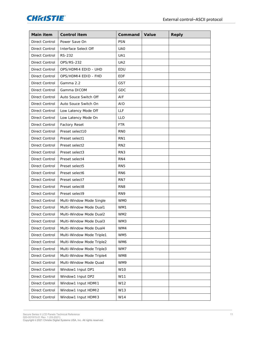

| Main item      | Control item              | Command         | Value | Reply |
|----------------|---------------------------|-----------------|-------|-------|
| Direct Control | Power Save On             | <b>PSN</b>      |       |       |
| Direct Control | Interface Select Off      | UA <sub>0</sub> |       |       |
| Direct Control | <b>RS-232</b>             | UA1             |       |       |
| Direct Control | <b>OPS/RS-232</b>         | UA <sub>2</sub> |       |       |
| Direct Control | OPS/HDMI4 EDID - UHD      | <b>EDU</b>      |       |       |
| Direct Control | OPS/HDMI4 EDID - FHD      | <b>EDF</b>      |       |       |
| Direct Control | Gamma 2.2                 | <b>GST</b>      |       |       |
| Direct Control | Gamma DICOM               | GDC             |       |       |
| Direct Control | Auto Souce Switch Off     | AIF             |       |       |
| Direct Control | Auto Souce Switch On      | <b>AIO</b>      |       |       |
| Direct Control | Low Latency Mode Off      | LLF             |       |       |
| Direct Control | Low Latency Mode On       | <b>LLO</b>      |       |       |
| Direct Control | Factory Reset             | <b>FTR</b>      |       |       |
| Direct Control | Preset select10           | <b>RNO</b>      |       |       |
| Direct Control | Preset select1            | RN1             |       |       |
| Direct Control | Preset select2            | RN <sub>2</sub> |       |       |
| Direct Control | Preset select3            | RN <sub>3</sub> |       |       |
| Direct Control | Preset select4            | RN4             |       |       |
| Direct Control | Preset select5            | RN <sub>5</sub> |       |       |
| Direct Control | Preset select6            | RN <sub>6</sub> |       |       |
| Direct Control | Preset select7            | RN7             |       |       |
| Direct Control | Preset select8            | RN <sub>8</sub> |       |       |
| Direct Control | Preset select9            | RN9             |       |       |
| Direct Control | Multi-Window Mode Single  | <b>WMO</b>      |       |       |
| Direct Control | Multi-Window Mode Dual1   | WM1             |       |       |
| Direct Control | Multi-Window Mode Dual2   | WM <sub>2</sub> |       |       |
| Direct Control | Multi-Window Mode Dual3   | WM3             |       |       |
| Direct Control | Multi-Window Mode Dual4   | WM4             |       |       |
| Direct Control | Multi-Window Mode Triple1 | WM5             |       |       |
| Direct Control | Multi-Window Mode Triple2 | WM6             |       |       |
| Direct Control | Multi-Window Mode Triple3 | WM7             |       |       |
| Direct Control | Multi-Window Mode Triple4 | WM8             |       |       |
| Direct Control | Multi-Window Mode Quad    | WM9             |       |       |
| Direct Control | Window1 Input DP1         | W10             |       |       |
| Direct Control | Window1 Input DP2         | W11             |       |       |
| Direct Control | Window1 Input HDMI1       | W12             |       |       |
| Direct Control | Window1 Input HDMI2       | W13             |       |       |
| Direct Control | Window1 Input HDMI3       | W14             |       |       |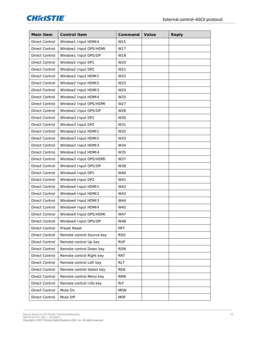

| Main item      | Control item              | Command    | Value | Reply |
|----------------|---------------------------|------------|-------|-------|
| Direct Control | Window1 Input HDMI4       | W15        |       |       |
| Direct Control | Window1 Input OPS/HDMI    | W17        |       |       |
| Direct Control | Window1 Input OPS/DP      | W18        |       |       |
| Direct Control | Window2 Input DP1         | W20        |       |       |
| Direct Control | Window2 Input DP2         | W21        |       |       |
| Direct Control | Window2 Input HDMI1       | W22        |       |       |
| Direct Control | Window2 Input HDMI2       | W23        |       |       |
| Direct Control | Window2 Input HDMI3       | W24        |       |       |
| Direct Control | Window2 Input HDMI4       | W25        |       |       |
| Direct Control | Window2 Input OPS/HDMI    | W27        |       |       |
| Direct Control | Window2 Input OPS/DP      | W28        |       |       |
| Direct Control | Window3 Input DP1         | W30        |       |       |
| Direct Control | Window3 Input DP2         | W31        |       |       |
| Direct Control | Window3 Input HDMI1       | W32        |       |       |
| Direct Control | Window3 Input HDMI2       | W33        |       |       |
| Direct Control | Window3 Input HDMI3       | W34        |       |       |
| Direct Control | Window3 Input HDMI4       | W35        |       |       |
| Direct Control | Window3 Input OPS/HDMI    | W37        |       |       |
| Direct Control | Window3 Input OPS/DP      | W38        |       |       |
| Direct Control | Window4 Input DP1         | W40        |       |       |
| Direct Control | Window4 Input DP2         | W41        |       |       |
| Direct Control | Window4 Input HDMI1       | W42        |       |       |
| Direct Control | Window4 Input HDMI2       | W43        |       |       |
| Direct Control | Window4 Input HDMI3       | W44        |       |       |
| Direct Control | Window4 Input HDMI4       | W45        |       |       |
| Direct Control | Window4 Input OPS/HDMI    | W47        |       |       |
| Direct Control | Window4 Input OPS/DP      | W48        |       |       |
| Direct Control | Preset Reset              | <b>PRT</b> |       |       |
| Direct Control | Remote control Source key | <b>RSO</b> |       |       |
| Direct Control | Remote control Up key     | <b>RUP</b> |       |       |
| Direct Control | Remote control Down key   | <b>RDN</b> |       |       |
| Direct Control | Remote control Right key  | <b>RRT</b> |       |       |
| Direct Control | Remote control Left key   | <b>RLT</b> |       |       |
| Direct Control | Remote control Select key | <b>REN</b> |       |       |
| Direct Control | Remote control Menu key   | <b>RMN</b> |       |       |
| Direct Control | Remote control Info key   | <b>RIF</b> |       |       |
| Direct Control | Mute On                   | <b>MON</b> |       |       |
| Direct Control | Mute Off                  | <b>MOF</b> |       |       |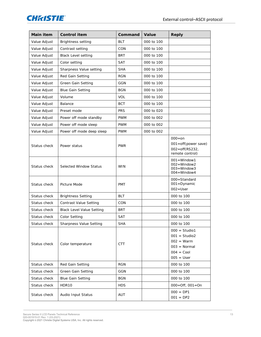

| Main item    | Control item                     | Command    | Value      | Reply                                                                                                       |
|--------------|----------------------------------|------------|------------|-------------------------------------------------------------------------------------------------------------|
| Value Adjust | Brightness setting               | <b>BLT</b> | 000 to 100 |                                                                                                             |
| Value Adjust | Contrast setting                 | CON        | 000 to 100 |                                                                                                             |
| Value Adjust | <b>Black Level setting</b>       | <b>BRT</b> | 000 to 100 |                                                                                                             |
| Value Adjust | Color setting                    | <b>SAT</b> | 000 to 100 |                                                                                                             |
| Value Adjust | Sharpness Value setting          | <b>SHA</b> | 000 to 100 |                                                                                                             |
| Value Adjust | Red Gain Setting                 | <b>RGN</b> | 000 to 100 |                                                                                                             |
| Value Adjust | Green Gain Setting               | <b>GGN</b> | 000 to 100 |                                                                                                             |
| Value Adjust | <b>Blue Gain Setting</b>         | <b>BGN</b> | 000 to 100 |                                                                                                             |
| Value Adjust | Volume                           | <b>VOL</b> | 000 to 100 |                                                                                                             |
| Value Adjust | Balance                          | <b>BCT</b> | 000 to 100 |                                                                                                             |
| Value Adjust | Preset mode                      | <b>PRS</b> | 000 to 020 |                                                                                                             |
| Value Adjust | Power off mode standby           | <b>PWM</b> | 000 to 002 |                                                                                                             |
| Value Adjust | Power off mode sleep             | <b>PWM</b> | 000 to 002 |                                                                                                             |
| Value Adjust | Power off mode deep sleep        | <b>PWM</b> | 000 to 002 |                                                                                                             |
| Status check | Power status                     | <b>PWR</b> |            | $000 = on$<br>001=off(power save)<br>$002 = off(RS232,$<br>remote control)                                  |
| Status check | Selected Window Status           | <b>WIN</b> |            | $001 =$ Window1<br>$002 =$ Window2<br>$003 =$ Window3<br>$004 =$ Window4                                    |
| Status check | Picture Mode                     | <b>PMT</b> |            | 000=Standard<br>001 = Dynamic<br>$002 = User$                                                               |
| Status check | <b>Brightness Setting</b>        | <b>BLT</b> |            | 000 to 100                                                                                                  |
| Status check | Contrast Value Setting           | CON        |            | 000 to 100                                                                                                  |
| Status check | <b>Black Level Value Setting</b> | <b>BRT</b> |            | 000 to 100                                                                                                  |
| Status check | Color Setting                    | <b>SAT</b> |            | 000 to 100                                                                                                  |
| Status check | Sharpness Value Setting          | <b>SHA</b> |            | 000 to 100                                                                                                  |
| Status check | Color temperature                | <b>CTT</b> |            | $000 =$ Studio1<br>$001 =$ Studio2<br>$002 = \text{Warm}$<br>$003 = Normal$<br>$004 = Cool$<br>$005 = User$ |
| Status check | Red Gain Setting                 | <b>RGN</b> |            | 000 to 100                                                                                                  |
| Status check | Green Gain Setting               | GGN        |            | 000 to 100                                                                                                  |
| Status check | <b>Blue Gain Setting</b>         | <b>BGN</b> |            | 000 to 100                                                                                                  |
| Status check | HDR10                            | <b>HDS</b> |            | $000 =$ Off, $001 =$ On                                                                                     |
| Status check | Audio Input Status               | AUT        |            | $000 = DP1$<br>$001 = DP2$                                                                                  |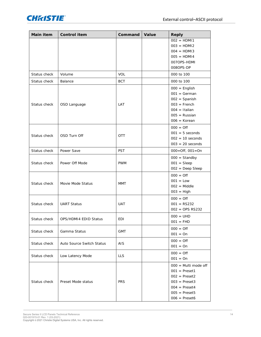

| Main item    | Control item              | Command    | Value | Reply                                                                                                                                                    |
|--------------|---------------------------|------------|-------|----------------------------------------------------------------------------------------------------------------------------------------------------------|
|              |                           |            |       | $002 = HDM11$<br>$003 = HDM12$<br>$004 = HDM13$<br>$005 = HDM14$<br>007OPS-HDMI<br>008OPS-DP                                                             |
| Status check | Volume                    | <b>VOL</b> |       | 000 to 100                                                                                                                                               |
| Status check | Balance                   | <b>BCT</b> |       | 000 to 100                                                                                                                                               |
| Status check | OSD Language              | LAT        |       | $000 =$ English<br>$001 = German$<br>$002 =$ Spanish<br>$003 =$ French<br>$004 = Italian$<br>$005$ = Russian<br>$006 = Korean$                           |
| Status check | OSD Turn Off              | OTT        |       | $000 = \text{Off}$<br>$001 = 5$ seconds<br>$002 = 10$ seconds<br>$003 = 20$ seconds                                                                      |
| Status check | Power Save                | PST        |       | $000 =$ Off, $001 =$ On                                                                                                                                  |
| Status check | Power Off Mode            | <b>PWM</b> |       | $000 =$ Standby<br>$001 = \text{Sleep}$<br>$002 = Deep Sleep$                                                                                            |
| Status check | Movie Mode Status         | <b>MMT</b> |       | $000 = \text{Off}$<br>$001 = Low$<br>$002 = Middle$<br>$003 = High$                                                                                      |
| Status check | <b>UART Status</b>        | <b>UAT</b> |       | $000 = \text{Off}$<br>$001 = RS232$<br>$002 =$ OPS RS232                                                                                                 |
| Status check | OPS/HDMI4 EDID Status     | <b>EDI</b> |       | $000 = UHD$<br>$001 = FHD$                                                                                                                               |
| Status check | Gamma Status              | <b>GMT</b> |       | $000 = \text{Off}$<br>$001 = On$                                                                                                                         |
| Status check | Auto Source Switch Status | <b>AIS</b> |       | $000 = \text{Off}$<br>$001 = On$                                                                                                                         |
| Status check | Low Latency Mode          | <b>LLS</b> |       | $000 = \text{Off}$<br>$001 = On$                                                                                                                         |
| Status check | Preset Mode status        | <b>PRS</b> |       | $000 =$ Multi mode off<br>$001 = \text{Present1}$<br>$002$ = Preset2<br>$003$ = Preset3<br>$004 = \text{Present4}$<br>$005$ = Preset5<br>$006$ = Preset6 |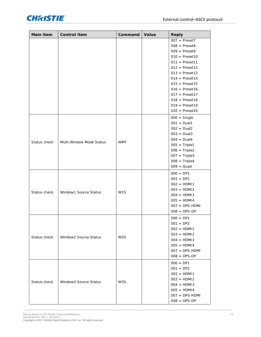

| $007 = \text{Present7}$                                                    |  |
|----------------------------------------------------------------------------|--|
| $008 = \text{Present8}$                                                    |  |
| $009 = \text{Present9}$                                                    |  |
| $010 = \text{Present10}$                                                   |  |
| $011 = \text{Present11}$                                                   |  |
| $012$ = Preset12                                                           |  |
| $013$ = Preset13                                                           |  |
| $014$ = Preset14                                                           |  |
| $015$ = Preset15                                                           |  |
| $016$ = Preset16                                                           |  |
| $017$ = Preset17                                                           |  |
| $018$ = Preset18                                                           |  |
| $019$ = Preset19                                                           |  |
| $020 = \text{Present20}$                                                   |  |
| $000 =$ Single                                                             |  |
| $001 = Dual1$                                                              |  |
| $002 = Dual2$                                                              |  |
| $003 = Dual3$                                                              |  |
| $004 = Dual4$<br><b>WMT</b><br>Status check<br>Multi-Window Mode Status    |  |
| $005 = Triple1$                                                            |  |
| $006 = Triple2$                                                            |  |
| $007 = Triple3$                                                            |  |
| $008 = Triple4$                                                            |  |
| $009 = Quad$                                                               |  |
| $000 = DP1$                                                                |  |
| $001 = DP2$                                                                |  |
| $002 = HDM11$                                                              |  |
| $003 = HDM12$                                                              |  |
| Status check<br>Window1 Source Status<br>W <sub>1</sub> S<br>$004 = HDM13$ |  |
| $005 = HDM14$                                                              |  |
| $007 = OPS-HDMI$                                                           |  |
| $008 = OPS-DP$                                                             |  |
| $000 = DP1$                                                                |  |
| $001 = DP2$                                                                |  |
| $002 = HDM11$                                                              |  |
| $003 = HDM12$                                                              |  |
| Window2 Source Status<br>W <sub>2</sub> S<br>Status check<br>$004 = HDM13$ |  |
| $005 = HDM14$                                                              |  |
| $007 = OPS-HDMI$                                                           |  |
| $008 = OPS-DP$                                                             |  |
| $000 = DP1$                                                                |  |
| $001 = DP2$                                                                |  |
| $002 = HDM11$                                                              |  |
| $003 = HDM12$                                                              |  |
| Status check<br>Window3 Source Status<br>W3S<br>$004 = HDM13$              |  |
| $005 = HDM14$                                                              |  |
| $007 = OPS-HDMI$                                                           |  |
| $008 = OPS-DP$                                                             |  |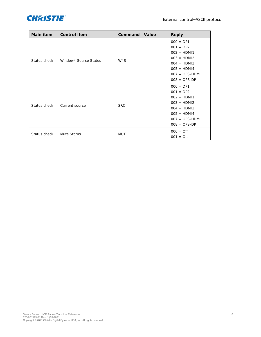

| Main item    | Control item          | Command    | Value | Reply                                                                                                                                |
|--------------|-----------------------|------------|-------|--------------------------------------------------------------------------------------------------------------------------------------|
| Status check | Window4 Source Status | W4S        |       | $000 = DP1$<br>$001 = DP2$<br>$002 = HDM11$<br>$003 = HDM12$<br>$004 = HDM13$<br>$005 = HDM14$<br>$007 = OPS-HDMI$<br>$008 = OPS-DP$ |
| Status check | Current source        | <b>SRC</b> |       | $000 = DP1$<br>$001 = DP2$<br>$002 = HDM11$<br>$003 = HDM12$<br>$004 = HDM13$<br>$005 = HDM14$<br>$007 = OPS-HDMI$<br>$008 = OPS-DP$ |
| Status check | Mute Status           | <b>MUT</b> |       | $000 = \text{Off}$<br>$001 = On$                                                                                                     |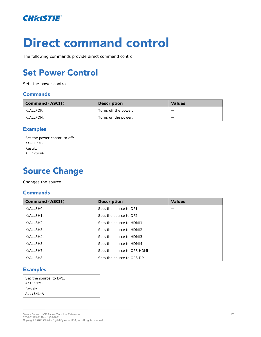

# **Direct command control**

<span id="page-16-0"></span>The following commands provide direct command control.

# **Set Power Control**

Sets the power control.

#### **Commands**

| Command (ASCII) | Description          | Values |
|-----------------|----------------------|--------|
| K: ALLPOF.      | Turns off the power. |        |
| K: ALLPON.      | Turns on the power.  | –      |

#### **Examples**

| Set the power contorl to off: |  |
|-------------------------------|--|
| K:ALLPOF.                     |  |
| Result:                       |  |
| $ALL:POF = A$                 |  |

## <span id="page-16-1"></span>**Source Change**

Changes the source.

#### **Commands**

| Command (ASCII)             | Description                  | Values |
|-----------------------------|------------------------------|--------|
| $K:AI$ I SHO.               | Sets the source to DP1.      |        |
| $K: AII$ SH1.               | Sets the source to DP2.      |        |
| $K$ : All SH <sub>2</sub> . | Sets the source to HDM11.    |        |
| $K:AI$ I SH3.               | Sets the source to HDMI2.    |        |
| $K: AI$ I SH4.              | Sets the source to HDM13.    |        |
| $K$ : All SH5.              | Sets the source to HDM14.    |        |
| K: AII SH7.                 | Sets the source to OPS HDML. |        |
| $K: A \sqcup SH8$ .         | Sets the source to OPS DP.   |        |

#### **Examples**

| Set the <i>sourcel</i> to DP1: |  |
|--------------------------------|--|
| $K:ALLSH1$ .                   |  |
| Result:                        |  |
| $ALL:SH1=A$                    |  |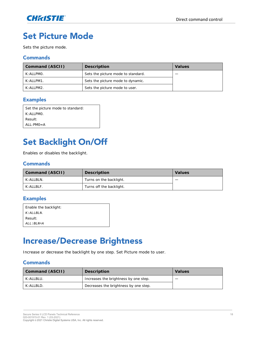

### <span id="page-17-0"></span>**Set Picture Mode**

Sets the picture mode.

#### **Commands**

| Command (ASCII) | Description                        | Values |
|-----------------|------------------------------------|--------|
| K: ALLPMO.      | Sets the picture mode to standard. |        |
| K: ALLPM1.      | Sets the picture mode to dynamic.  |        |
| K:ALLPM2.       | Sets the picture mode to user.     |        |

#### **Examples**

| Set the picture mode to standard: |  |
|-----------------------------------|--|
| $K \cdot AI$ I PMO                |  |
| Result:                           |  |
| $AI$ : PMO=A                      |  |

### <span id="page-17-1"></span>**Set Backlight On/Off**

Enables or disables the backlight.

#### **Commands**

| Command (ASCII) | Description              | Values |
|-----------------|--------------------------|--------|
| K: ALLBLN.      | Turns on the backlight.  |        |
| K: ALLBLF.      | Turns off the backlight. |        |

#### **Examples**

| Enable the backlight: |
|-----------------------|
| K:ALI.BI.N.           |
| Result:               |
| ALL : BLN=A           |

### <span id="page-17-2"></span>**Increase/Decrease Brightness**

Increase or decrease the backlight by one step. Set Picture mode to user.

| Command (ASCII) | Description                           | Values |
|-----------------|---------------------------------------|--------|
| K: ALLBLU.      | Increases the brightness by one step. | —      |
| K: ALLBLD.      | Decreases the brightness by one step. |        |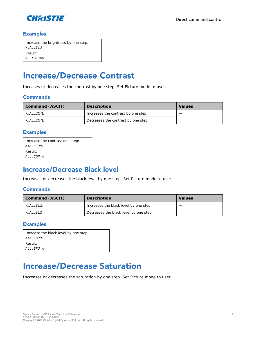

| Increase the brightness by one step: |
|--------------------------------------|
| K: ALLBLU.                           |
| Result:                              |
| $ALL: BLU = A$                       |

### <span id="page-18-0"></span>**Increase/Decrease Contrast**

Inceases or decreases the contrast by one step. Set Picture mode to user.

#### **Commands**

| Command (ASCII) | Description                         | Values |
|-----------------|-------------------------------------|--------|
| K: ALLCON.      | Increases the contrast by one step. |        |
| K: ALLCON.      | Decreases the contrast by one step. |        |

#### **Examples**

| Increase the contrast one step: |
|---------------------------------|
| $K:ALLCON$ .                    |
| Result:                         |
| ALL : CON=A                     |

### <span id="page-18-1"></span>**Increase/Decrease Black level**

Increases or decreases the black level by one step. Set Picture mode to user.

#### **Commands**

| Command (ASCII) | Description                            | Values |
|-----------------|----------------------------------------|--------|
| K: ALLBLU.      | Increases the black level by one step. |        |
| K: ALLBLD.      | Decreases the black level by one step. |        |

#### **Examples**

| Increase the black level by one step: |
|---------------------------------------|
| $K$ : ALLBRU.                         |
| Result:                               |
| ALL: BRU=A                            |

### <span id="page-18-2"></span>**Increase/Decrease Saturation**

Increases or decreases the saturation by one step. Set Picture mode to user.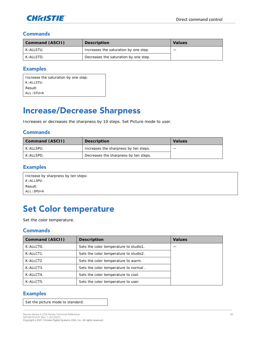

| Command (ASCII) | Description                           | Values |
|-----------------|---------------------------------------|--------|
| K: ALLSTU.      | Increases the saturation by one step. |        |
| K: ALLSTD.      | Decreases the saturation by one step. |        |

#### **Examples**

| Increase the saturation by one step: |  |
|--------------------------------------|--|
| K: ALLSTU.                           |  |
| Result:                              |  |
| ALL: STU=A                           |  |

### <span id="page-19-0"></span>**Increase/Decrease Sharpness**

Increases or decreases the sharpness by 10 steps. Set Picture mode to user.

#### **Commands**

| Command (ASCII) | Description                           | Values |
|-----------------|---------------------------------------|--------|
| K: ALLSPU.      | Increases the sharpness by ten steps. |        |
| K: ALLSPD.      | Decreases the sharpness by ten steps. |        |

#### **Examples**

| Increase by sharpness by ten steps: |
|-------------------------------------|
| $K:ALLSPU$ .                        |
| Result:                             |
| ALL:SPU=A                           |

### <span id="page-19-1"></span>**Set Color temperature**

Set the color temperature.

#### **Commands**

| Command (ASCII) | Description                            | Values |
|-----------------|----------------------------------------|--------|
| K: ALLCTO.      | Sets the color temperature to studio1. |        |
| K: ALLCT1.      | Sets the color temperature to studio2. |        |
| K: ALLCT2.      | Sets the color temperature to warm.    |        |
| K: ALLCT3.      | Sets the color temperature to normal.  |        |
| K: ALLCT4.      | Sets the color temperature to cool.    |        |
| K: ALLCT5.      | Sets the color temperature to user.    |        |

#### **Examples**

Set the picture mode to standard: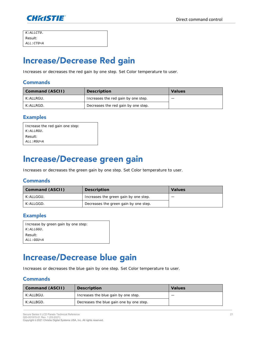

| $K:ALLCTO$ .   |  |
|----------------|--|
| Result:        |  |
| $ALL: CTO = A$ |  |

### <span id="page-20-0"></span>**Increase/Decrease Red gain**

Increases or decreases the red gain by one step. Set Color temperature to user.

#### **Commands**

| Command (ASCII) | Description                         | Values |
|-----------------|-------------------------------------|--------|
| K: ALLRGU.      | Increases the red gain by one step. |        |
| K: ALLRGD.      | Decreases the red gain by one step. |        |

#### **Examples**

| Increase the red gain one step: |  |
|---------------------------------|--|
| $K:ALLRGU$ .                    |  |
| Result:                         |  |
| ALL : RGU=A                     |  |

### <span id="page-20-1"></span>**Increase/Decrease green gain**

Increases or decreases the green gain by one step. Set Color temperature to user.

#### **Commands**

| Command (ASCII) | Description                           | Values |
|-----------------|---------------------------------------|--------|
| K: ALLGGU.      | Increases the green gain by one step. |        |
| K: ALLGGD.      | Decreases the green gain by one step. |        |

#### **Examples**

| Increase by green gain by one step: |  |
|-------------------------------------|--|
| $K: ALLGGU$ .                       |  |
| Result:                             |  |
| ALL : GGU=A                         |  |

### <span id="page-20-2"></span>**Increase/Decrease blue gain**

Increases or decreases the blue gain by one step. Set Color temperature to user.

| Command (ASCII) | Description                              | Values |
|-----------------|------------------------------------------|--------|
| K: ALLBGU.      | Increases the blue gain by one step.     |        |
| K: ALLBGD.      | Decreases the blue gain one by one step. |        |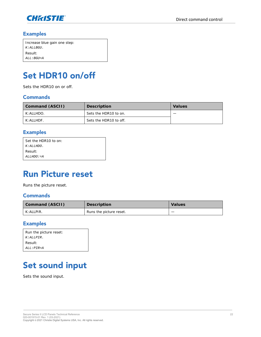

| Increase blue gain one step: |  |
|------------------------------|--|
| $K$ : ALLBGU.                |  |
| Result:                      |  |
| ALL : BGU=A                  |  |

## <span id="page-21-0"></span>Set HDR10 on/off

Sets the HDR10 on or off.

#### **Commands**

| Command (ASCII)     | Description            | Values |
|---------------------|------------------------|--------|
| K: ALLHDO.          | Sets the HDR10 to on.  |        |
| $K: A \sqcup H$ DF. | Sets the HDR10 to off. |        |

#### **Examples**

| Set the HDR10 to on: |  |
|----------------------|--|
| K: ALLHDO.           |  |
| Result:              |  |
| ALLHDO: = A          |  |
|                      |  |

### <span id="page-21-1"></span>**Run Picture reset**

Runs the picture reset.

#### **Commands**

| Command (ASCII) | Description             | Values |
|-----------------|-------------------------|--------|
| K:ALLPIR.       | Runs the picture reset. |        |

#### **Examples**

| Run the picture reset: |  |
|------------------------|--|
| $K:ALLPIR$ .           |  |
| Result:                |  |
| $ALL:PIR=A$            |  |

### <span id="page-21-2"></span>**Set sound input**

Sets the sound input.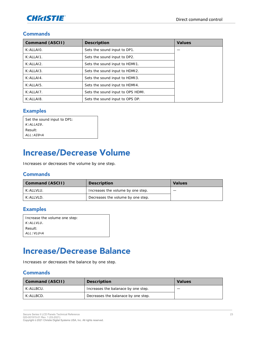

| Command (ASCII) | Description                       | Values |
|-----------------|-----------------------------------|--------|
| K: ALLAIO.      | Sets the sound input to DP1.      |        |
| K:ALLAI1.       | Sets the sound input to DP2.      |        |
| K: ALLAI2.      | Sets the sound input to HDMI1.    |        |
| K:ALLAI3.       | Sets the sound input to HDMI2.    |        |
| K:ALLA14.       | Sets the sound input to HDM13.    |        |
| $K$ : All Al5.  | Sets the sound input to HDMI4.    |        |
| K:ALLAI7.       | Sets the sound input to OPS HDMI. |        |
| K: ALLAI8.      | Sets the sound input to OPS DP.   |        |

#### **Examples**

| Set the sound input to DP1: |
|-----------------------------|
| $K$ : ALLATO.               |
| Result:                     |
| $ALL:ATO=A$                 |

### <span id="page-22-0"></span>**Increase/Decrease Volume**

Increases or decreases the volume by one step.

#### **Commands**

| Command (ASCII) | Description                       | Values |
|-----------------|-----------------------------------|--------|
| K: ALI VI U.    | Increases the volume by one step. |        |
| K: A H V H D.   | Decreases the volume by one step. |        |

#### **Examples**

| Increase the volume one step: |
|-------------------------------|
| $K$ : ALLVLU.                 |
| Result:                       |
| ALL:VLU=A                     |

### <span id="page-22-1"></span>**Increase/Decrease Balance**

Increases or decreases the balance by one step.

| Command (ASCII) | Description                         | Values |
|-----------------|-------------------------------------|--------|
| K: ALLBCU.      | Increases the balanace by one step. |        |
| K: A H BCD.     | Decreases the balanace by one step. |        |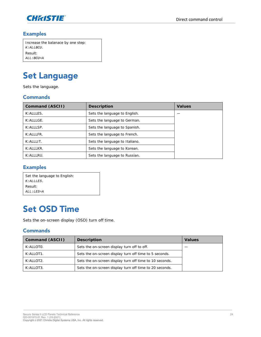

| Increase the balanace by one step: |
|------------------------------------|
| $K$ : ALLBCU.                      |
| Result:                            |
| $ALL: BCU = A$                     |

# <span id="page-23-0"></span>**Set Language**

Sets the language.

#### **Commands**

| Command (ASCII)         | Description                    | Values |
|-------------------------|--------------------------------|--------|
| K: ALLLES.              | Sets the language to English.  |        |
| K: ALLLGE.              | Sets the language to German.   |        |
| $K: A \sqcup S P$ .     | Sets the language to Spanish.  |        |
| $K: A H \cup FR$        | Sets the language to French.   |        |
| $K: A \cup \cup \top$ . | Sets the language to Italiano. |        |
| $K$ : AI I I KR.        | Sets the language to Korean.   |        |
| K: ALLLRU.              | Sets the language to Russian.  |        |

#### **Examples**

| Set the language to English: |
|------------------------------|
| $K$ : ALLLES.                |
| Result:                      |
| ALL : LES=A                  |

### <span id="page-23-1"></span>**Set OSD Time**

Sets the on-screen display (OSD) turn off time.

| Command (ASCII) | Description                                             | Values |
|-----------------|---------------------------------------------------------|--------|
| K: ALLOTO.      | Sets the on-screen display turn off to off.             |        |
| K: ALLOT1.      | Sets the on-screen display turn off time to 5 seconds.  |        |
| K: ALLOT2.      | Sets the on-screen display turn off time to 10 seconds. |        |
| K: A H O T 3.   | Sets the on-screen display turn off time to 20 seconds. |        |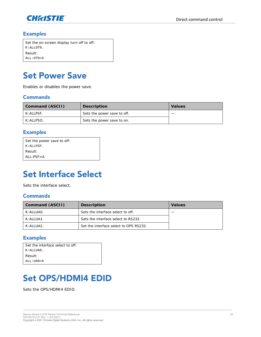

| Set the on-screen display turn off to off: |  |
|--------------------------------------------|--|
| K:ALLOTO.                                  |  |
| Result:                                    |  |
| ALL:OTO=A                                  |  |

### <span id="page-24-0"></span>**Set Power Save**

Enables or disables the power save.

#### **Commands**

| Command (ASCII) | Description                 | Values |
|-----------------|-----------------------------|--------|
| K: ALLPSF.      | Sets the power save to off. |        |
| K: ALLPSO.      | Sets the power save to on.  |        |

#### **Examples**

| Set the power save to off: |
|----------------------------|
| K:ALLPSF.                  |
| Result:                    |
| $AI \cdot PSE = A$         |

### <span id="page-24-1"></span>**Set Interface Select**

Sets the interface select.

#### **Commands**

| Command (ASCII)    | Description                            | Values |
|--------------------|----------------------------------------|--------|
| K: ALI UAO.        | Sets the interface select to off.      |        |
| $K$ : AI I UA1.    | Sets the interface select to RS232.    |        |
| $K: A \cup U A 2.$ | Set the interface select to OPS RS232. |        |

#### **Examples**

| Set the interface select to off: |  |
|----------------------------------|--|
| $K:ALIJAO$ .                     |  |
| Result:                          |  |
| $ALL:IIAO = A$                   |  |

## <span id="page-24-2"></span>**Set OPS/HDMI4 EDID**

Sets the OPS/HDMI4 EDID.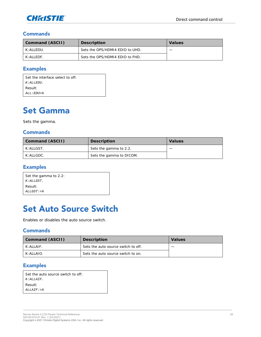

| Command (ASCII)     | Description                     | Values |
|---------------------|---------------------------------|--------|
| K: ALI FDU.         | Sets the OPS/HDMI4 FDID to UHD. | _      |
| $K: A \sqcup F$ DF. | Sets the OPS/HDMI4 EDID to FHD. |        |

#### **Examples**

| Set the interface select to off. |
|----------------------------------|
| $K:ALI.EDII$ .                   |
| Result:                          |
| $ALL : EDU = A$                  |

### <span id="page-25-0"></span>**Set Gamma**

Sets the gamma.

#### **Commands**

| Command (ASCII)    | Description              | Values |
|--------------------|--------------------------|--------|
| $K: A \sqcup GST.$ | Sets the gamma to 2.2.   | _      |
| $K: A \sqcup GDC.$ | Sets the gamma to DICOM. |        |

#### **Examples**

| Set the gamma to 2.2: |
|-----------------------|
| $K:ALLGST$ .          |
| Result:               |
| $ALLGST: = A$         |

### <span id="page-25-1"></span>**Set Auto Source Switch**

Enables or disables the auto source switch.

#### **Commands**

| Command (ASCII) | Description                         | Values |
|-----------------|-------------------------------------|--------|
| $K$ : All AIF.  | Sets the auto source switch to off. |        |
| K: A H A O.     | Sets the auto source switch to on.  |        |

#### **Examples**

| Set the auto source switch to off: |  |
|------------------------------------|--|
| $K$ : ALLAIF.                      |  |
| Result:                            |  |
| $ALI \cdot A I F : = A$            |  |
|                                    |  |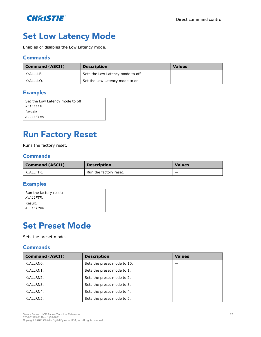

## <span id="page-26-0"></span>**Set Low Latency Mode**

Enables or disables the Low Latency mode.

#### **Commands**

| Command (ASCII) | Description                       | Values |
|-----------------|-----------------------------------|--------|
| K: ALLLLF.      | Sets the Low Latency mode to off. |        |
| K: ALLLLO.      | Set the Low Latency mode to on.   |        |

#### **Examples**

| Set the Low Latency mode to off: |
|----------------------------------|
| $K$ : ALLLLF.                    |
| Result:                          |
| $ALLLLF: = A$                    |

## <span id="page-26-1"></span>**Run Factory Reset**

Runs the factory reset.

#### **Commands**

| Command (ASCII) | Description            | <b>Values</b> |
|-----------------|------------------------|---------------|
| K: ALLFTR.      | Run the factory reset. | _             |

#### **Examples**

| Result:        | Run the factory reset:<br>$K$ : ALLFTR. |
|----------------|-----------------------------------------|
| $ALL: FTR = A$ |                                         |

### <span id="page-26-2"></span>**Set Preset Mode**

Sets the preset mode.

| Command (ASCII) | Description                 | <b>Values</b> |
|-----------------|-----------------------------|---------------|
| K: ALLRNO.      | Sets the preset mode to 10. |               |
| K: ALLRN1.      | Sets the preset mode to 1.  |               |
| K: ALLRN2.      | Sets the preset mode to 2.  |               |
| K: ALLRN3.      | Sets the preset mode to 3.  |               |
| K: ALLRN4.      | Sets the preset mode to 4.  |               |
| K: ALLRN5.      | Sets the preset mode to 5.  |               |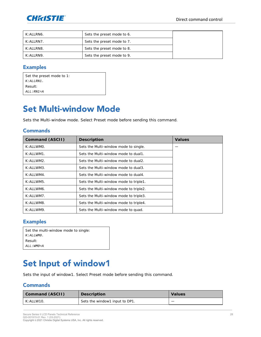

| K: ALLRN6. | Sets the preset mode to 6. |  |
|------------|----------------------------|--|
| K: ALLRN7. | Sets the preset mode to 7. |  |
| K: ALLRN8. | Sets the preset mode to 8. |  |
| K: ALLRN9. | Sets the preset mode to 9. |  |

Set the preset mode to 1: *K:ALLRN1.* Result: *ALL:RN1=A*

### <span id="page-27-0"></span>**Set Multi-window Mode**

Sets the Multi-window mode. Select Preset mode before sending this command.

#### **Commands**

| Command (ASCII) | Description                            | Values |
|-----------------|----------------------------------------|--------|
| K: ALLWMO.      | Sets the Multi-window mode to single.  |        |
| K: ALLWM1.      | Sets the Multi-window mode to dual1.   |        |
| K: ALLWM2.      | Sets the Multi-window mode to dual2.   |        |
| K: ALLWM3.      | Sets the Multi-window mode to dual3.   |        |
| K: ALLWM4.      | Sets the Multi-window mode to dual4.   |        |
| K: ALLWM5.      | Sets the Multi-window mode to triple1. |        |
| K: ALLWM6.      | Sets the Multi-window mode to triple2. |        |
| K: ALLWM7.      | Sets the Multi-window mode to triple3. |        |
| K: ALLWM8.      | Sets the Multi-window mode to triple4. |        |
| K: ALLWM9.      | Sets the Multi-window mode to quad.    |        |

#### **Examples**

| Set the multi-window mode to single: |  |
|--------------------------------------|--|
| $K:ALLWMO$ .                         |  |
| Result:                              |  |
| ALL:WM0=A                            |  |

### <span id="page-27-1"></span>Set Input of window1

Sets the input of window1. Select Preset mode before sending this command.

| Command (ASCII) | Description                    | Values |
|-----------------|--------------------------------|--------|
| K: ALLW10.      | Sets the window1 input to DP1. |        |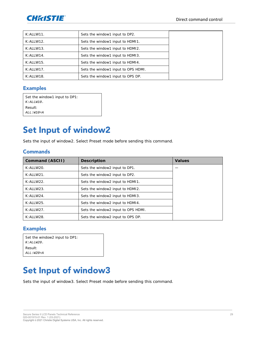

| K:ALLW11.    | Sets the window1 input to DP2.      |  |
|--------------|-------------------------------------|--|
| K: ALLW12.   | Sets the window1 input to HDM11.    |  |
| K:ALLW13.    | Sets the window1 input to HDM12.    |  |
| K: AI I W14. | Sets the window1 input to HDM13.    |  |
| K:ALLW15.    | Sets the window1 input to HDM14.    |  |
| K:ALLW17.    | Sets the window1 input to OPS HDMI. |  |
| K: ALLW18.   | Sets the window1 input to OPS DP.   |  |

| Set the window1 input to DP1: |  |
|-------------------------------|--|
| $K:\hbox{\it ALLW10}$ .       |  |
| Result:                       |  |
| $ALL:W10=A$                   |  |

### <span id="page-28-0"></span>**Set Input of window2**

Sets the input of window2. Select Preset mode before sending this command.

#### **Commands**

| Command (ASCII) | Description                         | Values |
|-----------------|-------------------------------------|--------|
| K: A H W 20.    | Sets the window2 input to DP1.      |        |
| K: A H W 21.    | Sets the window2 input to DP2.      |        |
| K: ALLW22.      | Sets the window2 input to HDM11.    |        |
| K:ALLW23.       | Sets the window2 input to HDMI2.    |        |
| $K: AI$   W24.  | Sets the window2 input to HDMI3.    |        |
| $K: AI$ I W25.  | Sets the window2 input to HDMI4.    |        |
| K: ALLW27.      | Sets the window2 input to OPS HDMI. |        |
| $K$ : ALLW28.   | Sets the window2 input to OPS DP.   |        |

#### **Examples**

| Set the window2 input to DP1: |  |
|-------------------------------|--|
| $K:\hbox{\it ALLW20}$ .       |  |
| Result:                       |  |
| $ALL:W20=A$                   |  |

### <span id="page-28-1"></span>**Set Input of window3**

Sets the input of window3. Select Preset mode before sending this command.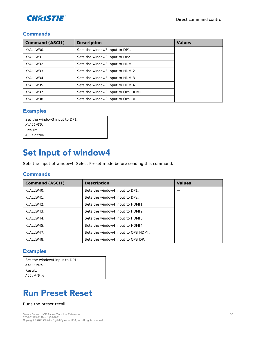

| Command (ASCII) | Description                         | Values |
|-----------------|-------------------------------------|--------|
| K:ALLW30.       | Sets the window3 input to DP1.      |        |
| K:ALLW31.       | Sets the window3 input to DP2.      |        |
| K: ALLW32.      | Sets the window3 input to HDM11.    |        |
| K:ALLW33.       | Sets the window3 input to HDMI2.    |        |
| K: ALLW34.      | Sets the window3 input to HDMI3.    |        |
| K: ALLW35.      | Sets the window3 input to HDMI4.    |        |
| K: ALLW37.      | Sets the window3 input to OPS HDMI. |        |
| K: ALLW38.      | Sets the window3 input to OPS DP.   |        |

#### **Examples**

| Set the window3 input to DP1: |
|-------------------------------|
| $K:ALLW30$ .                  |
| Result:                       |
| $ALL:W30=A$                   |

### <span id="page-29-0"></span>Set Input of window4

Sets the input of window4. Select Preset mode before sending this command.

#### **Commands**

| Command (ASCII) | Description                         | Values |
|-----------------|-------------------------------------|--------|
| K: ALLW40.      | Sets the window4 input to DP1.      |        |
| K: ALLW41.      | Sets the window4 input to DP2.      |        |
| K: ALLW42.      | Sets the window4 input to HDM11.    |        |
| K: ALLW43.      | Sets the window4 input to HDM12.    |        |
| K: ALLW44.      | Sets the window4 input to HDM13.    |        |
| K: ALLW45.      | Sets the window4 input to HDM14.    |        |
| K: ALLW47.      | Sets the window4 input to OPS HDMI. |        |
| K: ALLW48.      | Sets the window4 input to OPS DP.   |        |

#### **Examples**

| Set the window4 input to DP1: |
|-------------------------------|
| K:ALLW40.                     |
| Result:                       |
| $ALL:WAO=A$                   |

### <span id="page-29-1"></span>**Run Preset Reset**

Runs the preset recall.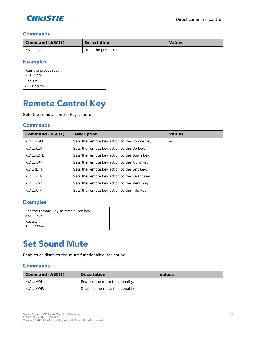

| Command (ASCII) | Description            | Values |
|-----------------|------------------------|--------|
| $K$ : All PRT.  | Runs the preset reset. |        |

#### **Examples**

| Run the preset recall: |  |
|------------------------|--|
| $K$ : ALLPRT.          |  |
| Result:                |  |
| $ALL: PRT = A$         |  |

### <span id="page-30-0"></span>**Remote Control Key**

Sets the remote control key action.

#### **Commands**

| Command (ASCII)  | Description                                   | Values |
|------------------|-----------------------------------------------|--------|
| K: ALLRSO.       | Sets the remote key action to the Source key. |        |
| K: ALLRUP.       | Sets the remote key action to the Up key.     |        |
| K: ALLRDN.       | Sets the remote key action to the Down key.   |        |
| K: ALLRRT.       | Sets the remote key action to the Right key.  |        |
| K: ALRLT4.       | Sets the remote key action to the Left key.   |        |
| K: ALLREN.       | Sets the remote key action to the Select key. |        |
| $K: A H R M N$ . | Sets the remote key action to the Menu key.   |        |
| $K$ : ALLRIF.    | Sets the remote key action to the Info key.   |        |

#### **Examples**

| Set the remote key to the Source key: |
|---------------------------------------|
| $K:ALLRSO$ .                          |
| Result:                               |
| $ALL:RSO=A$                           |

### <span id="page-30-1"></span>**Set Sound Mute**

Enables or disables the mute functionality (for sound).

| Command (ASCII) | Description                      | Values |
|-----------------|----------------------------------|--------|
| K: ALLMON.      | Enables the mute functionality.  |        |
| $K: A H$ MOF.   | Disables the mute functionality. |        |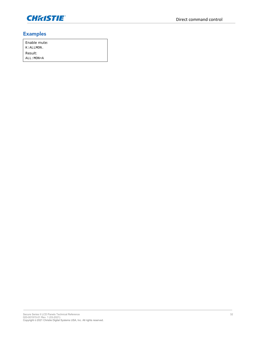

| Fnable mute: |  |
|--------------|--|
| K: ALLMON.   |  |
| Result:      |  |
| ALL: MON=A   |  |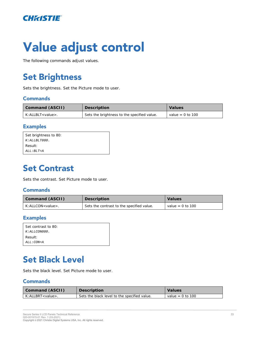

# Value adjust control

<span id="page-32-0"></span>The following commands adjust values.

# **Set Brightness**

Sets the brightness. Set the Picture mode to user.

#### **Commands**

| Command (ASCII)            | Description                                 | Values             |
|----------------------------|---------------------------------------------|--------------------|
| K: ALLBLT <value>.</value> | Sets the brightness to the specified value. | value = $0$ to 100 |

#### **Examples**

| Set brightness to 80: |  |
|-----------------------|--|
| $K: ALLBLT080$ .      |  |
| Result:               |  |
| $ALL: BLT = A$        |  |
|                       |  |

### <span id="page-32-1"></span>**Set Contrast**

Sets the contrast. Set Picture mode to user.

#### **Commands**

| Command (ASCII)                | Description                               | Values           |
|--------------------------------|-------------------------------------------|------------------|
| $K: AI$ I CON <value>.</value> | Sets the contrast to the specified value. | value = 0 to 100 |

#### **Examples**

| Set contrast to 80: |
|---------------------|
| $K:ALLCONO80$ .     |
| Result:             |
| ALL:CON=A           |

### <span id="page-32-2"></span>**Set Black Level**

Sets the black level. Set Picture mode to user.

| Command (ASCII)            | Description                                  | Values           |
|----------------------------|----------------------------------------------|------------------|
| K: ALLBRT <value>.</value> | Sets the black level to the specified value. | value = 0 to 100 |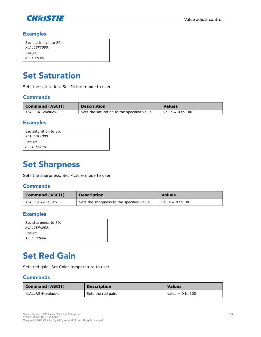

| Set black level to 80: |
|------------------------|
| $K:ALLBRTO80$ .        |
| Result:                |
| $ATJ: RRT = A$         |

### <span id="page-33-0"></span>**Set Saturation**

Sets the saturation. Set Picture mode to user.

#### **Commands**

| Command (ASCII)            | Description                                 | Values           |
|----------------------------|---------------------------------------------|------------------|
| K: ALLSAT <value>.</value> | Sets the saturation to the specified value. | value = 0 to 100 |

#### **Examples**

| Set saturation to 80: |  |
|-----------------------|--|
| $K: ALLSATO80$ .      |  |
| Result:               |  |
| ALL: SAT=A            |  |
|                       |  |

### <span id="page-33-1"></span>**Set Sharpness**

Sets the sharpness. Set Picture mode to user.

#### **Commands**

| Command (ASCII)                  | Description                                | Values             |
|----------------------------------|--------------------------------------------|--------------------|
| $K:$ ALL SHA $\lt$ value $\gt$ . | Sets the sharpness to the specified value. | value = $0$ to 100 |

#### **Examples**

| Set sharpness to 80: |
|----------------------|
| $K:ALLSHAO8O$ .      |
| Result:              |
| ALL: SHA=A           |

### <span id="page-33-2"></span>**Set Red Gain**

Sets red gain. Set Color temperature to user.

| Command (ASCII)            | Description        | Values           |
|----------------------------|--------------------|------------------|
| K: ALLRGN <value>.</value> | Sets the red gain. | value = 0 to 100 |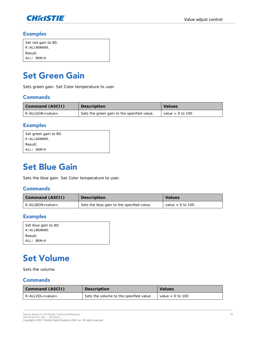

| Set red gain to 80: |
|---------------------|
| $K: ALLRGNO80$ .    |
| Result:             |
| ALL: RGN=A          |

### <span id="page-34-0"></span>**Set Green Gain**

Sets green gain. Set Color temperature to user.

#### **Commands**

| Command (ASCII)            | Description                                   | Values           |
|----------------------------|-----------------------------------------------|------------------|
| K: ALLGGN <value>.</value> | I Sets the green gain to the specified value. | value = 0 to 100 |

#### **Examples**

| Set green gain to 80: |  |
|-----------------------|--|
| $K: ALLGGNO80$ .      |  |
| Result:               |  |
| ALL: GGN=A            |  |
|                       |  |

### <span id="page-34-1"></span>**Set Blue Gain**

Sets the blue gain. Set Color temperature to user.

#### **Commands**

| Command (ASCII)        | Description                                | Values             |
|------------------------|--------------------------------------------|--------------------|
| $K:$ ALLBGN < value >. | Sets the blue gain to the specified value. | value = $0$ to 100 |

#### **Examples**

| Set blue gain to 80: |
|----------------------|
| K:ALLBGN080.         |
| - Result:            |
| ALL: BGN=A           |

## <span id="page-34-2"></span>**Set Volume**

Sets the volume.

| Command (ASCII)            | Description                             | <b>Values</b>      |
|----------------------------|-----------------------------------------|--------------------|
| K: ALLVOL <value>.</value> | Sets the volume to the specified value. | value = $0$ to 100 |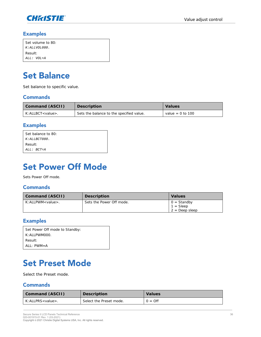

| Set volume to 80: |
|-------------------|
| K: ALLVOL080.     |
| Result:           |
| ALL: VOL=A        |

## <span id="page-35-0"></span>**Set Balance**

Set balance to specific value.

#### **Commands**

| Command (ASCII)            | Description                              | Values             |
|----------------------------|------------------------------------------|--------------------|
| K: ALLBCT <value>.</value> | Sets the balance to the specified value. | value = $0$ to 100 |

#### **Examples**

| Set balance to 80: |  |
|--------------------|--|
| $K: ALLBCTO80$ .   |  |
| Result:            |  |
| ALL: BCT=A         |  |

### <span id="page-35-1"></span>**Set Power Off Mode**

Sets Power Off mode.

#### **Commands**

| Command (ASCII)               | Description              | Values                                                  |
|-------------------------------|--------------------------|---------------------------------------------------------|
| $K:$ All PWM <value>.</value> | Sets the Power Off mode. | $0 =$ Standby<br>$1 = \text{Sleep}$<br>$2 = Deep sleep$ |

#### **Examples**

| Set Power Off mode to Standby: |
|--------------------------------|
| K: AI I PWM000.                |
| Result:                        |
| $AI: PWM = A$                  |

## <span id="page-35-2"></span>**Set Preset Mode**

Select the Preset mode.

| Command (ASCII)            | Description             | Values           |
|----------------------------|-------------------------|------------------|
| K: ALLPRS <value>.</value> | Select the Preset mode. | $0 = \text{Off}$ |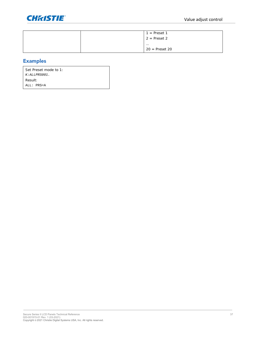

|  | $1 =$ Preset 1   |
|--|------------------|
|  | $2$ = Preset 2   |
|  | $\cdots$         |
|  | $20 =$ Preset 20 |

Set Preset mode to 1: *K:ALLPRS001.* Result: ALL: PRS=A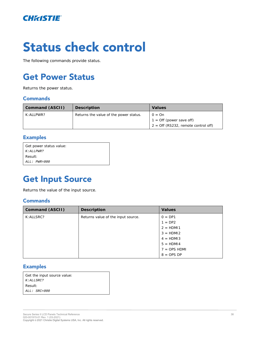

# **Status check control**

<span id="page-37-0"></span>The following commands provide status.

## **Get Power Status**

Returns the power status.

#### **Commands**

| Command (ASCII) | Description                            | Values                                                                                 |
|-----------------|----------------------------------------|----------------------------------------------------------------------------------------|
| K: ALLPWR?      | Returns the value of the power status. | $Q = Qn$<br>$1 = \text{Off}$ (power save off)<br>$2 =$ Off (RS232, remote control off) |

#### **Examples**

| Get power status value: |  |
|-------------------------|--|
| K: ALLPWR?              |  |
| Result:                 |  |
| ALL: PWR=000            |  |
|                         |  |

### <span id="page-37-1"></span>**Get Input Source**

Returns the value of the input source.

#### **Commands**

| Command (ASCII) | Description                        | Values         |
|-----------------|------------------------------------|----------------|
| K: ALLSRC?      | Returns value of the input source. | $0 = DP1$      |
|                 |                                    | $1 = DP2$      |
|                 |                                    | $2 = HDM11$    |
|                 |                                    | $3 = HDM12$    |
|                 |                                    | $4 = HDM13$    |
|                 |                                    | $5 = HDM14$    |
|                 |                                    | $7 =$ OPS HDMI |
|                 |                                    | $8 =$ OPS DP   |

#### **Examples**

| Get the input source value: |
|-----------------------------|
| K: ALLSRC?                  |
| Result:                     |
| $ALL:$ $SRC = 000$          |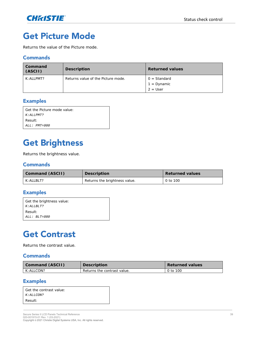

### <span id="page-38-0"></span>**Get Picture Mode**

Returns the value of the Picture mode.

#### **Commands**

| Command<br>(ASCII)  | Description                        | <b>Returned values</b> |
|---------------------|------------------------------------|------------------------|
| $K: A \sqcup PMT$ ? | Returns value of the Picture mode. | $0 =$ Standard         |
|                     |                                    | 1 = Dynamic            |
|                     |                                    | $2 = User$             |

#### **Examples**

| l Get the Picture mode value: |
|-------------------------------|
| K: ALLPMT?                    |
| Result:                       |
| $ALL: PMT = 0.00$             |

### <span id="page-38-1"></span>**Get Brightness**

Returns the brightness value.

#### **Commands**

| Command (ASCII) | Description                   | Returned values |
|-----------------|-------------------------------|-----------------|
| K: ALLBLT?      | Returns the brightness value. | 0 to 100        |

#### **Examples**

| Get the brightness value: |
|---------------------------|
| $K:ALI.BLTT$ ?            |
| Result:                   |
| $ALL: BLT = 080$          |

### <span id="page-38-2"></span>**Get Contrast**

Returns the contrast value.

#### **Commands**

| Command (ASCII) | Description                 | Returned values |
|-----------------|-----------------------------|-----------------|
| K:ALLCON?       | Returns the contrast value. | 0 to 100        |

#### **Examples**

| Get the contrast value: |
|-------------------------|
| K:ALLCON?               |
| Result:                 |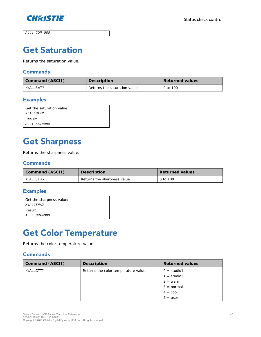

<span id="page-39-0"></span>*ALL: CON=080*

### **Get Saturation**

Returns the saturation value.

#### **Commands**

| Command (ASCII) | Description                   | Returned values |
|-----------------|-------------------------------|-----------------|
| K:ALLSAT?       | Returns the saturation value. | 0 to 100        |

#### **Examples**

| Get the saturation value: |
|---------------------------|
| $K:ALLSAT$ ?              |
| Result:                   |
| ALL: SAT=080              |

## <span id="page-39-1"></span>**Get Sharpness**

Returns the sharpness value.

#### **Commands**

| Command (ASCII) | Description                  | Returned values |
|-----------------|------------------------------|-----------------|
| K: ALLSHA?      | Returns the sharpness value. | 0 to 100        |

#### **Examples**

| Get the sharpness value: |
|--------------------------|
| K: ALLSHA?               |
| Result:                  |
| ALL: SHA=080             |

## <span id="page-39-2"></span>**Get Color Temperature**

Returns the color temperature value.

| Command (ASCII) | Description                          | Returned values                                                                                 |
|-----------------|--------------------------------------|-------------------------------------------------------------------------------------------------|
| K: ALLCTT?      | Returns the color temperature value. | $0 =$ studio1<br>$1 =$ studio2<br>$2 = warm$<br>$3 = normal$<br>$4 = \text{cool}$<br>$5 = user$ |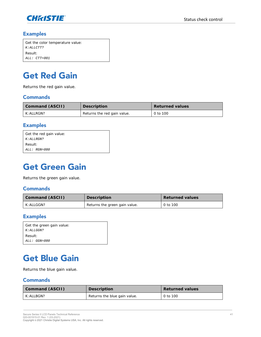

| Get the color temperature value: |
|----------------------------------|
| $K$ : ALLCTT?                    |
| Result:                          |
| ALL: CTT=001                     |

### <span id="page-40-0"></span>**Get Red Gain**

Returns the red gain value.

#### **Commands**

| Command (ASCII) | Description                 | Returned values |
|-----------------|-----------------------------|-----------------|
| K: ALLRGN?      | Returns the red gain value. | 0 to 100        |

#### **Examples**

| Get the red gain value: |
|-------------------------|
| K: ALLRGN?              |
| Result:                 |
| ALL: RGN=080            |

### <span id="page-40-1"></span>**Get Green Gain**

Returns the green gain value.

#### **Commands**

| Command (ASCII) | Description                   | Returned values |
|-----------------|-------------------------------|-----------------|
| K: ALLGGN?      | Returns the green gain value. | 0 to 100        |

#### **Examples**

| Get the green gain value: |
|---------------------------|
| K : ALLGGN?               |
| Result:                   |
| ALL: GGN=080              |

### <span id="page-40-2"></span>**Get Blue Gain**

Returns the blue gain value.

| Command (ASCII)    | Description                  | Returned values |
|--------------------|------------------------------|-----------------|
| $K: A \sqcup BGN?$ | Returns the blue gain value. | 0 to 100        |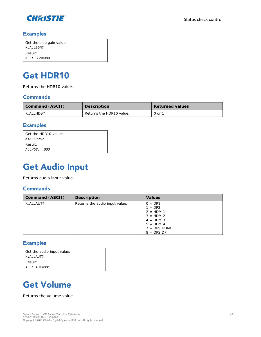

| Get the blue gain value: |  |
|--------------------------|--|
| K: ALLBGN?               |  |
| Result:                  |  |
| $ALL: BGN=080$           |  |

### <span id="page-41-0"></span>**Get HDR10**

Returns the HDR10 value.

#### **Commands**

| Command (ASCII) | Description              | Returned values |
|-----------------|--------------------------|-----------------|
| K: ALLHDS?      | Returns the HDR10 value. | 0 or 1          |

#### **Examples**

| Get the HDR10 value: |  |
|----------------------|--|
| K: ALLHDS?           |  |
| Result:              |  |
| $ALLHDS: = 000$      |  |

### <span id="page-41-1"></span>**Get Audio Input**

Returns audio input value.

#### **Commands**

| Command (ASCII) | Description                    | Values                                                                                                             |
|-----------------|--------------------------------|--------------------------------------------------------------------------------------------------------------------|
| K: ALLAUT?      | Returns the audio input value. | $0 = DP1$<br>$= DP2$<br>$2 = HDM11$<br>$3 = HDM12$<br>$4 = HDM13$<br>$5 = HDM14$<br>$7 =$ OPS HDMI<br>$8 =$ OPS DP |

#### **Examples**

| Get the audio input value: |  |
|----------------------------|--|
| K:ALLAUT?                  |  |
| Result:                    |  |
| $ALL: AUT = 001$           |  |

### <span id="page-41-2"></span>**Get Volume**

Returns the volume value.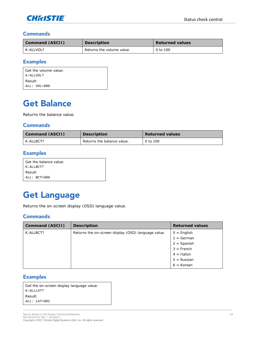

| Command (ASCII) | Description               | Returned values |
|-----------------|---------------------------|-----------------|
| K: ALLVOL?      | Returns the volume value. | 0 to 100        |

#### **Examples**

| Get the volume value: |
|-----------------------|
| K:ALLVOL?             |
| Result:               |
| ALL: VOL=080          |

### <span id="page-42-0"></span>**Get Balance**

Returns the balance value.

#### **Commands**

| Command (ASCII)    | <b>Description</b>         | Returned values |
|--------------------|----------------------------|-----------------|
| $K: A \sqcup BCT?$ | Returns the balance value. | 0 to 100        |

#### **Examples**

| Get the balance value: |  |
|------------------------|--|
| $K:ALI$ , $BCT$ ?      |  |
| Result:                |  |
| $ALL:$ BCT=080         |  |

## <span id="page-42-1"></span>**Get Language**

Returns the on-screen display (OSD) language value.

#### **Commands**

| Command (ASCII) | Description                                         | Returned values |
|-----------------|-----------------------------------------------------|-----------------|
| K: ALLBCT?      | Returns the on-screen display (OSD) language value. | $0 =$ English   |
|                 |                                                     | $1 = German$    |
|                 |                                                     | $2 =$ Spanish   |
|                 |                                                     | $3 =$ French    |
|                 |                                                     | $4 = Italizn$   |
|                 |                                                     | $5 =$ Russian   |
|                 |                                                     | $6 = K$ orean   |

#### **Examples**

| Get the on-screen display language value: |  |  |
|-------------------------------------------|--|--|
| K: ALLLAT?                                |  |  |
| Result:                                   |  |  |
| $ALL: LAT = 0.01$                         |  |  |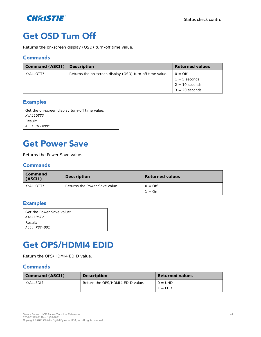

### <span id="page-43-0"></span>**Get OSD Turn Off**

Returns the on-screen display (OSD) turn-off time value.

#### **Commands**

| Command (ASCII)   Description |                                                          | Returned values  |
|-------------------------------|----------------------------------------------------------|------------------|
| K: A H OTT?                   | Returns the on-screen display (OSD) turn-off time value. | $Q = Qf$         |
|                               |                                                          | $1 = 5$ seconds  |
|                               |                                                          | $2 = 10$ seconds |
|                               |                                                          | $3 = 20$ seconds |

#### **Examples**

| Get the on-screen display turn-off time value: |
|------------------------------------------------|
| $K:ALLOTT$ ?                                   |
| Result:                                        |
| ALL: OTT=001                                   |

### <span id="page-43-1"></span>**Get Power Save**

Returns the Power Save value.

#### **Commands**

| Command<br>(ASCII) | Description                   | Returned values  |
|--------------------|-------------------------------|------------------|
| K: A H O T T 2     | Returns the Power Save value. | $0 = \text{Off}$ |
|                    |                               | $1 = On$         |

#### **Examples**

| l Get the Power Save value: |
|-----------------------------|
| K:ALLPST?                   |
| l Result:                   |
| ALL: PST=001                |

### <span id="page-43-2"></span>**Get OPS/HDMI4 EDID**

Return the OPS/HDMI4 EDID value.

| Command (ASCII)                  | Description                      | Returned values        |
|----------------------------------|----------------------------------|------------------------|
| $K: A \sqcup F \square \sqcup ?$ | Return the OPS/HDMI4 EDID value. | $Q = UHD$<br>$1 = FHD$ |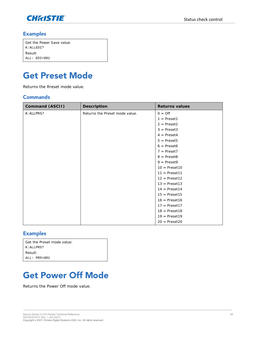

| Get the Power Save value: |
|---------------------------|
| $K:ALLEDI$ ?              |
| Result:                   |
| $ALL:$ $EDI = 001$        |

### <span id="page-44-0"></span>**Get Preset Mode**

Returns the Rreset mode value.

#### **Commands**

| Command (ASCII) | Description                    | Returns values          |
|-----------------|--------------------------------|-------------------------|
| K: ALLPRS?      | Returns the Preset mode value. | $0 = \text{Off}$        |
|                 |                                | $1 =$ Preset1           |
|                 |                                | $2$ = Preset2           |
|                 |                                | $3 = \text{Present3}$   |
|                 |                                | $4$ = Preset4           |
|                 |                                | $5$ = Preset5           |
|                 |                                | $6$ = Preset6           |
|                 |                                | $7$ = Preset7           |
|                 |                                | $8 =$ Preset8           |
|                 |                                | $9 =$ Preset9           |
|                 |                                | $10 = \text{Present10}$ |
|                 |                                | $11 = \text{Present11}$ |
|                 |                                | $12$ = Preset12         |
|                 |                                | $13$ = Preset13         |
|                 |                                | $14$ = Preset14         |
|                 |                                | $15$ = Preset15         |
|                 |                                | $16 = \text{Present16}$ |
|                 |                                | $17 = \text{Present17}$ |
|                 |                                | $18 = \text{Present18}$ |
|                 |                                | $19$ = Preset19         |
|                 |                                | $20 = \text{Present20}$ |

#### **Examples**

| Get the Preset mode value: |
|----------------------------|
| $K: ALLPRS$ ?              |
| Result:                    |
| $ALL: PRS = 001$           |

## <span id="page-44-1"></span>**Get Power Off Mode**

Returns the Power Off mode value.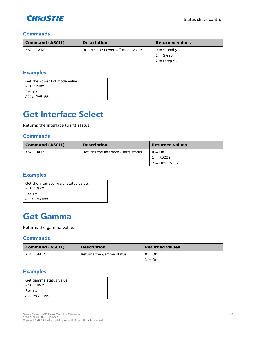

| Command (ASCII) | Description                       | Returned values                     |
|-----------------|-----------------------------------|-------------------------------------|
| K: A H PWM?     | Returns the Power Off mode value. | $0 =$ Standby<br>$1 = \text{Sleep}$ |
|                 |                                   | $2 = Deep Sleep$                    |

#### **Examples**

| Get the Power Off mode value: |
|-------------------------------|
| K: ALLPWM?                    |
| Result:                       |
| $ALL: PWM = 001$              |
|                               |

### <span id="page-45-0"></span>**Get Interface Select**

Returns the interface (uart) status.

#### **Commands**

| Command (ASCII) | Description                          | Returned values                                    |
|-----------------|--------------------------------------|----------------------------------------------------|
| K: ALLUAT?      | Returns the interface (uart) status. | $0 = \text{Off}$<br>$1 = RS232$<br>$2 =$ OPS RS232 |

#### **Examples**

| Get the interface (uart) status value: |  |  |
|----------------------------------------|--|--|
| $K:ALIJIAT$ ?                          |  |  |
| Result:                                |  |  |
| $ALL: \text{ } IIAT = 0.01$            |  |  |

### <span id="page-45-1"></span>**Get Gamma**

Returns the gamma value.

#### **Commands**

| Command (ASCII)    | Description               | Returned values    |
|--------------------|---------------------------|--------------------|
| $K: A \sqcup GMT?$ | Returns the gamma status. | $Q = Qf$<br>1 = On |

#### **Examples**

| Get gamma status value: |
|-------------------------|
| K:ALLGMT?               |
| Result:                 |
| $ALLGMT: = 001$         |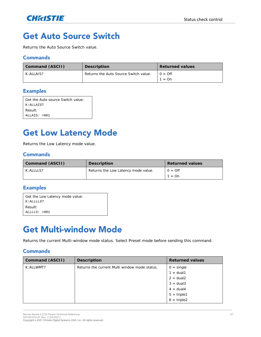

### <span id="page-46-0"></span>**Get Auto Source Switch**

Returns the Auto Source Switch value.

#### **Commands**

| Command (ASCII) | Description                           | Returned values |
|-----------------|---------------------------------------|-----------------|
| K: A H A S?     | Returns the Auto Source Switch value. | $Q = Qf$        |
|                 |                                       | $1 = \Omega n$  |

#### **Examples**

| Get the Auto source Switch value: |
|-----------------------------------|
| K: ALLAIS?                        |
| Result:                           |
| $ALLATS: = 001$                   |

### <span id="page-46-1"></span>**Get Low Latency Mode**

Returns the Low Latency mode value.

#### **Commands**

| Command (ASCII) | Description                         | Returned values    |
|-----------------|-------------------------------------|--------------------|
| K: A111S2       | Returns the Low Latency mode value. | $Q = Qf$<br>1 = On |

#### **Examples**

| Get the Low Latency mode value: |  |  |
|---------------------------------|--|--|
| $K:ALLLLS$ ?                    |  |  |
| Result:                         |  |  |
| $ALLLLS: = 001$                 |  |  |

### <span id="page-46-2"></span>**Get Multi-window Mode**

Returns the current Multi-window mode status. Select Preset mode before sending this command.

| Command (ASCII) | Description                                   | Returned values                                                                                      |
|-----------------|-----------------------------------------------|------------------------------------------------------------------------------------------------------|
| K: ALLWMT?      | Returns the current Multi window mode status. | $0 = \text{single}$<br>$1 = \text{dual}1$<br>$2 = \text{dual}2$<br>$3 = dual3$<br>$4 = \text{dual}4$ |
|                 |                                               | $5 = triple1$<br>$6 = triple2$                                                                       |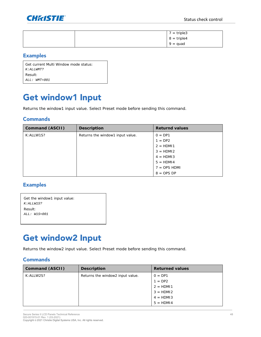

|  | $7 = triple3$ |
|--|---------------|
|  | $8 = triple4$ |
|  | $9 = quad$    |

| Get current Multi Window mode status: |
|---------------------------------------|
| K: ALLWMT?                            |
| Result:                               |
| $ALL: WMT = 0.01$                     |

### <span id="page-47-0"></span>Get window1 Input

Returns the window1 input value. Select Preset mode before sending this command.

#### **Commands**

| Command (ASCII) | Description                      | Returnd values |
|-----------------|----------------------------------|----------------|
| K: ALLW1S?      | Returns the window1 input value. | $0 = DP1$      |
|                 |                                  | $1 = DP2$      |
|                 |                                  | $2 = HDM11$    |
|                 |                                  | $3 = HDM12$    |
|                 |                                  | $4 = HDM13$    |
|                 |                                  | $5 = HDM14$    |
|                 |                                  | $7 =$ OPS HDMI |
|                 |                                  | $8 =$ OPS DP   |

#### **Examples**

| Get the window1 input value: |  |
|------------------------------|--|
| K: ALLW1S?                   |  |
| Result:                      |  |
| $ALL: W1S=001$               |  |
|                              |  |

### <span id="page-47-1"></span>**Get window2 Input**

Returns the window2 input value. Select Preset mode before sending this command.

| Command (ASCII) | Description                      | Returned values |
|-----------------|----------------------------------|-----------------|
| K: ALLW2S?      | Returns the window2 input value. | $0 = DP1$       |
|                 |                                  | $1 = DP2$       |
|                 |                                  | $2 = HDM11$     |
|                 |                                  | $3 = HDM12$     |
|                 |                                  | $4 = HDM13$     |
|                 |                                  | $5 = HDM14$     |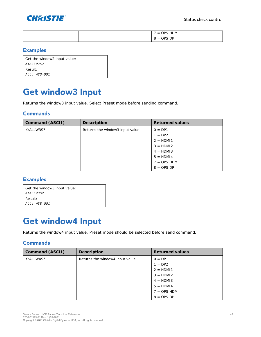

|  | <b>HDMI</b><br>$\overline{\phantom{0}}$<br><b>ODS</b><br>$=$<br>the contract of the contract of the contract of the contract of the contract of |
|--|-------------------------------------------------------------------------------------------------------------------------------------------------|
|  | OPS DP<br>$=$<br>$\sim$                                                                                                                         |

| Get the window2 input value: |  |  |
|------------------------------|--|--|
| $K:ALLW2S$ ?                 |  |  |
| Result:                      |  |  |
| $ALL: W2S = 001$             |  |  |

### <span id="page-48-0"></span>Get window3 Input

Returns the window3 input value. Select Preset mode before sending command.

#### **Commands**

| Command (ASCII) | Description                      | Returned values |
|-----------------|----------------------------------|-----------------|
| K: ALLW3S?      | Returns the window3 input value. | $0 = DP1$       |
|                 |                                  | $1 = DP2$       |
|                 |                                  | $2 = HDM11$     |
|                 |                                  | $3 = HDM12$     |
|                 |                                  | $4 = HDM13$     |
|                 |                                  | $5 = HDM14$     |
|                 |                                  | $7 =$ OPS HDMI  |
|                 |                                  | $8 =$ OPS DP    |

#### **Examples**

| Get the window3 input value: |
|------------------------------|
| K:ALI.W.3S?                  |
| Result:                      |
| ALL: W3S=001                 |
|                              |

### <span id="page-48-1"></span>Get window4 Input

Returns the window4 input value. Preset mode should be selected before send command.

| Command (ASCII) | Description                      | Returned values |
|-----------------|----------------------------------|-----------------|
| K: ALLW4S?      | Returns the window4 input value. | $0 = DP1$       |
|                 |                                  | $1 = DP2$       |
|                 |                                  | $2 = HDM11$     |
|                 |                                  | $3 = HDM12$     |
|                 |                                  | $4 = HDM13$     |
|                 |                                  | $5 = HDM14$     |
|                 |                                  | $7 =$ OPS HDMI  |
|                 |                                  | $8 =$ OPS DP    |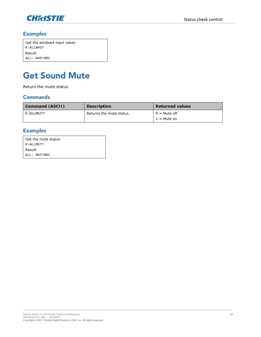

| Get the window4 input value: |
|------------------------------|
| <i>K:ALLW4S?</i>             |
| Result:                      |
| $ALL: W4S = 001$             |

## <span id="page-49-0"></span>**Get Sound Mute**

Return the mute status.

#### **Commands**

| Command (ASCII) | Description              | <b>Returned values</b>          |
|-----------------|--------------------------|---------------------------------|
| K: ALLMUT?      | Returns the mute status. | $Q = Mute$ off<br>$1 =$ Mute on |

### **Examples**

| Get the mute status: |
|----------------------|
| K: ALLMUT?           |
| Result:              |
| $ALL: MIT=001$       |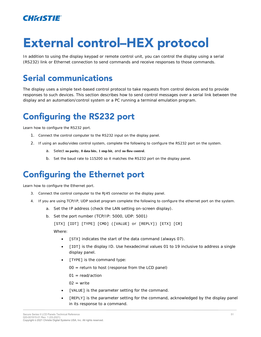

# **External control-HEX protocol**

In addition to using the display keypad or remote control unit, you can control the display using a serial (RS232) link or Ethernet connection to send commands and receive responses to those commands.

## <span id="page-50-0"></span>**Serial communications**

The display uses a simple text-based control protocol to take requests from control devices and to provide responses to such devices. This section describes how to send control messages over a serial link between the display and an automation/control system or a PC running a terminal emulation program.

## <span id="page-50-1"></span>**Configuring the RS232 port**

Learn how to configure the RS232 port.

- 1. Connect the control computer to the RS232 input on the display panel.
- 2. If using an audio/video control system, complete the following to configure the RS232 port on the system.
	- a. Select **no parity**, **8 data bits**, **1 stop bit**, and **no flow control**.
	- b. Set the baud rate to 115200 so it matches the RS232 port on the display panel.

### <span id="page-50-2"></span>**Configuring the Ethernet port**

Learn how to configure the Ethernet port.

- 3. Connect the control computer to the RJ45 connector on the display panel.
- 4. If you are using TCP/IP, UDP socket program complete the following to configure the ethernet port on the system.
	- a. Set the IP address (check the LAN setting on-screen display).
	- b. Set the port number (TCP/IP: 5000, UDP: 5001)

[STX] [IDT] [TYPE] [CMD] ([VALUE] or [REPLY]) [ETX] [CR]

Where:

- [STX] indicates the start of the data command (always 07).
- [IDT] is the display ID. Use hexadecimal values 01 to 19 inclusive to address a single display panel.
- [TYPE] is the command type:
	- $00 =$  return to host (response from the LCD panel)
	- $01 = \text{read}/\text{action}$

 $02 =$  write

- [VALUE] is the parameter setting for the command.
- [REPLY] is the parameter setting for the command, acknowledged by the display panel in its response to a command.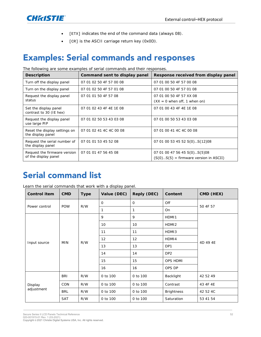

- [ETX] indicates the end of the command data (always 08).
- [CR] is the ASCII carriage return key (0x0D).

### <span id="page-51-0"></span>**Examples: Serial commands and responses**

The following are some examples of serial commands and their responses.

| Description                                          | Command sent to display panel | Response received from display panel                                     |  |
|------------------------------------------------------|-------------------------------|--------------------------------------------------------------------------|--|
| Turn off the display panel                           | 07 01 02 50 4F 57 00 08       | 07 01 00 50 4F 57 00 08                                                  |  |
| Turn on the display panel                            | 07 01 02 50 4F 57 01 08       | 07 01 00 50 4F 57 01 08                                                  |  |
| Request the display panel<br>status                  | 07 01 01 50 4F 57 08          | 07 01 00 50 4F 57 XX 08<br>$(XX = 0$ when off, 1 when on)                |  |
| Set the display panel<br>contrast to 30 (IE hex)     | 07 01 02 43 4F 4E 1E 08       | 07 01 00 43 4F 4E 1E 08                                                  |  |
| Request the display panel<br>use large PIP           | 07 01 02 50 53 43 03 08       | 07 01 00 50 53 43 03 08                                                  |  |
| Reset the display settings on<br>the display panel   | 07 01 02 41 4C 4C 00 08       | 07 01 00 41 4C 4C 00 08                                                  |  |
| Request the serial number of<br>the display panel    | 07 01 01 53 45 52 08          | 07 01 00 53 45 52 S(0)S(12)08                                            |  |
| Request the firmware version<br>of the display panel | 07 01 01 47 56 45 08          | 07 01 00 47 56 45 S(0)S(5)08<br>$(S(0)S(5) = firmware version in ASCII)$ |  |

### <span id="page-51-1"></span>**Serial command list**

Learn the serial commands that work with a display panel.

| Control item          | <b>CMD</b> | Type | Reply (DEC)<br>Value (DEC) |          | Content           | CMD (HEX) |  |
|-----------------------|------------|------|----------------------------|----------|-------------------|-----------|--|
|                       |            |      | $\circ$                    | $\circ$  | Off               | 50 4F 57  |  |
| Power control         | <b>POW</b> | R/W  |                            | 1        | On                |           |  |
|                       |            |      | 9                          | 9        | HDMI1             |           |  |
|                       |            |      | 10                         | 10       | HDMI <sub>2</sub> |           |  |
|                       |            |      | 11                         | 11       | HDMI3             |           |  |
|                       | <b>MIN</b> | R/W  | 12                         | 12       | HDMI4             | 4D 49 4E  |  |
| Input source          |            |      | 13                         | 13       | DP1               |           |  |
|                       |            |      | 14                         | 14       | DP <sub>2</sub>   |           |  |
|                       |            |      | 15                         | 15       | OPS HDMI          |           |  |
|                       |            |      | 16                         | 16       | OPS DP            |           |  |
|                       | <b>BRI</b> | R/W  | 0 to 100                   | 0 to 100 | Backlight         | 42 52 49  |  |
| Display<br>adjustment | <b>CON</b> | R/W  | 0 to 100                   | 0 to 100 | Contrast          | 43 4F 4E  |  |
|                       | <b>BRL</b> | R/W  | 0 to 100                   | 0 to 100 | <b>Brightness</b> | 42 52 4C  |  |
|                       | <b>SAT</b> | R/W  | 0 to 100                   | 0 to 100 | Saturation        | 53 41 54  |  |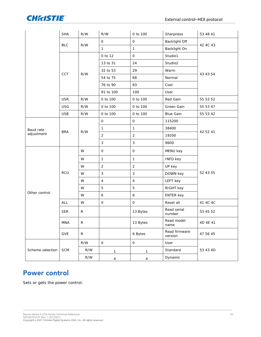

|                  | <b>SHA</b> | R/W                     | R/W            | 0 to 100       | Sharpness                | 53 48 41 |
|------------------|------------|-------------------------|----------------|----------------|--------------------------|----------|
|                  |            | R/W                     | $\mathsf O$    | $\mathsf O$    | Backlight Off            |          |
|                  | <b>BLC</b> |                         | $\mathbf{1}$   | $\mathbf{1}$   | Backlight On             | 42 4C 43 |
|                  |            |                         | 0 to 12        | $\circ$        | Studio1                  |          |
|                  |            |                         | 13 to 31       | 24             | Studio2                  |          |
|                  |            |                         | 32 to 53       | 29             | Warm                     |          |
|                  | CCT        | R/W                     | 54 to 75       | 68             | Normal                   | 43 43 54 |
|                  |            |                         | 76 to 90       | 83             | Cool                     |          |
|                  |            |                         | 91 to 100      | 100            | User                     |          |
|                  | <b>USR</b> | R/W                     | 0 to 100       | 0 to 100       | Red Gain                 | 55 53 52 |
|                  | <b>USG</b> | R/W                     | 0 to 100       | 0 to 100       | Green Gain               | 55 53 47 |
|                  | <b>USB</b> | ${\sf R/W}$             | 0 to 100       | 0 to 100       | <b>Blue Gain</b>         | 55 53 42 |
|                  |            |                         | $\bigcirc$     | $\hbox{O}$     | 115200                   | 42 52 41 |
| Baud rate        |            |                         | $\mathbbm{1}$  | $\mathbf{1}$   | 38400                    |          |
| adjustment       | <b>BRA</b> | R/W                     | $\sqrt{2}$     | $\overline{2}$ | 19200                    |          |
|                  |            |                         | $\mathsf 3$    | $\mathsf 3$    | 9600                     |          |
|                  | RCU        | W                       | $\circ$        | $\bigcirc$     | MENU key                 | 52 43 55 |
|                  |            | W                       | $\mathbf{1}$   | $\mathbbm{1}$  | <b>INFO key</b>          |          |
|                  |            | W                       | $\overline{2}$ | $\overline{2}$ | UP key                   |          |
|                  |            | W                       | $\mathsf 3$    | $\mathsf 3$    | DOWN key                 |          |
|                  |            | W                       | $\overline{4}$ | $\overline{4}$ | LEFT key                 |          |
|                  |            | W                       | 5              | 5              | RIGHT key                |          |
| Other control    |            | W                       | $\epsilon$     | $\epsilon$     | <b>ENTER key</b>         |          |
|                  | ALL        | W                       | $\hbox{O}$     | $\hbox{O}$     | Reset all                | 41 4C 4C |
|                  | <b>SER</b> | $\mathsf{R}$            |                | 13 Bytes       | Read serial<br>number    | 53 45 52 |
|                  | <b>MNA</b> | $\mathsf R$             |                | 13 Bytes       | Read model<br>name       | 4D 4E 41 |
|                  | GVE        | $\mathsf R$             |                | 6 Bytes        | Read firmware<br>version | 47 56 45 |
|                  |            | R/W                     | $\circ$        | $\mathsf O$    | User                     |          |
| Scheme selection | SCM        | R/W                     | 1              | 1              | Standard                 | 53 43 4D |
|                  |            | $\mathsf{R}/\mathsf{W}$ | $\overline{4}$ | $\overline{4}$ | Dynamic                  |          |

### <span id="page-52-0"></span>**Power control**

Sets or gets the power control.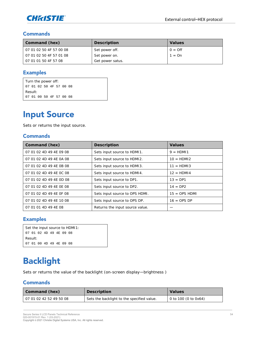

| Command (hex)             | Description      | Values         |
|---------------------------|------------------|----------------|
| 1 07 01 02 50 4F 57 00 08 | Set power off.   | $0 = \bigcirc$ |
| 07 01 02 50 4F 57 01 08   | Set power on.    | $1 = \Omega n$ |
| 07 01 01 50 4F 57 08      | Get power satus. |                |

#### **Examples**

Turn the power off: 07 01 02 50 4F 57 00 08 Result: 07 01 00 50 4F 57 00 08

### <span id="page-53-0"></span>**Input Source**

Sets or returns the input source.

#### **Commands**

| Command (hex)           | Description                     | Values          |
|-------------------------|---------------------------------|-----------------|
| 07 01 02 4D 49 4E 09 08 | Sets input source to HDMI1.     | $9 = HDM11$     |
| 07 01 02 4D 49 4E 0A 08 | Sets input source to HDMI2.     | $10 = HDM12$    |
| 07 01 02 4D 49 4E 0B 08 | Sets input source to HDM13.     | $11 = HDM13$    |
| 07 01 02 4D 49 4E 0C 08 | Sets input source to HDMI4.     | $12 = HDM14$    |
| 07 01 02 4D 49 4E 0D 08 | Sets input source to DP1.       | $13 = DP1$      |
| 07 01 02 4D 49 4E 0E 08 | Sets input source to DP2.       | $14 = DP2$      |
| 07 01 02 4D 49 4E OF 08 | Sets input source to OPS HDMI.  | $15 =$ OPS HDMI |
| 07 01 02 4D 49 4E 10 08 | Sets input source to OPS DP.    | $16 =$ OPS DP   |
| 07 01 01 4D 49 4E 08    | Returns the input source value. |                 |

#### **Examples**

|           |  |                         |  | Set the input source to HDMI1: |
|-----------|--|-------------------------|--|--------------------------------|
|           |  | 07 01 02 4D 49 4E 09 08 |  |                                |
| - Result: |  |                         |  |                                |
|           |  | 07 01 00 4D 49 4E 09 08 |  |                                |

### <span id="page-53-1"></span>**Backlight**

Sets or returns the value of the backlight (on-screen display—brightness )

| Command (hex)           | Description                                | Values                       |
|-------------------------|--------------------------------------------|------------------------------|
| 07 01 02 42 52 49 50 08 | Sets the backlight to the specified value. | $\vert$ 0 to 100 (0 to 0x64) |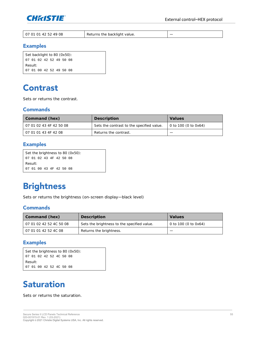

| 142524908<br><b>07.</b><br>01 01<br>Returns the backlight value.<br>$\sqrt{2}$ |  |
|--------------------------------------------------------------------------------|--|
|--------------------------------------------------------------------------------|--|

```
Set backlight to 80 (0x50):
07 01 02 42 52 49 50 08
Result:
07 01 00 42 52 49 50 08
```
### <span id="page-54-0"></span>**Contrast**

Sets or returns the contrast.

#### **Commands**

| Command (hex)           | Description                               | Values                       |
|-------------------------|-------------------------------------------|------------------------------|
| 07 01 02 43 4F 42 50 08 | Sets the contrast to the specified value. | $\vert$ 0 to 100 (0 to 0x64) |
| 07 01 01 43 4F 42 08    | Returns the contrast.                     |                              |

#### **Examples**

```
Set the brightness to 80 (0x50):
07 01 02 43 4F 42 50 08
Result:
07 01 00 43 4F 42 50 08
```
## <span id="page-54-1"></span>**Brightness**

Sets or returns the brightness (on-screen display—black level)

#### **Commands**

| Command (hex)           | Description                                 | Values                 |
|-------------------------|---------------------------------------------|------------------------|
| 07 01 02 42 52 4C 50 08 | Sets the brightness to the specified value. | $0$ to 100 (0 to 0x64) |
| 07 01 01 42 52 4C 08    | Returns the brightness.                     |                        |

#### **Examples**

```
Set the brightness to 80 (0x50):
07 01 02 42 52 4C 50 08
Result:
07 01 00 42 52 4C 50 08
```
### <span id="page-54-2"></span>**Saturation**

Sets or returns the saturation.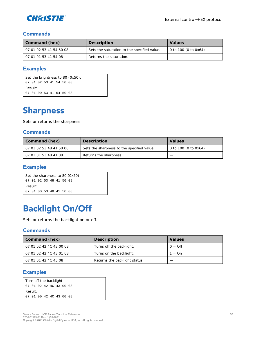

| Command (hex)           | Description                                 | Values                       |
|-------------------------|---------------------------------------------|------------------------------|
| 07 01 02 53 41 54 50 08 | Sets the saturation to the specified value. | $\vert$ 0 to 100 (0 to 0x64) |
| 07 01 01 53 41 54 08    | Returns the saturation.                     |                              |

#### **Examples**

|         |  |  |                         | Set the brightness to 80 (0x50): |
|---------|--|--|-------------------------|----------------------------------|
|         |  |  | 07 01 02 53 41 54 50 08 |                                  |
| Result: |  |  |                         |                                  |
|         |  |  | 07 01 00 53 41 54 50 08 |                                  |

## <span id="page-55-0"></span>**Sharpness**

Sets or returns the sharpness.

#### **Commands**

| Command (hex)           | Description                                | Values               |
|-------------------------|--------------------------------------------|----------------------|
| 07 01 02 53 48 41 50 08 | Sets the sharpness to the specified value. | 0 to 100 (0 to 0x64) |
| 07 01 01 53 48 41 08    | Returns the sharpness.                     |                      |

#### **Examples**

|                         |  |  |  | Set the sharpness to 80 (0x50): |  |
|-------------------------|--|--|--|---------------------------------|--|
| 07 01 02 53 48 41 50 08 |  |  |  |                                 |  |
| - Result:               |  |  |  |                                 |  |
| 07 01 00 53 48 41 50 08 |  |  |  |                                 |  |

### <span id="page-55-1"></span>**Backlight On/Off**

Sets or returns the backlight on or off.

#### **Commands**

| Command (hex)           | Description                  | Values           |
|-------------------------|------------------------------|------------------|
| 07 01 02 42 4C 43 00 08 | Turns off the backlight.     | $0 = \text{Off}$ |
| 07 01 02 42 4C 43 01 08 | Turns on the backlight.      | $1 = \Omega n$   |
| 07 01 01 42 4C 43 08    | Returns the backlight status |                  |

#### **Examples**

| Turn off the backlight: |                         |  |  |  |
|-------------------------|-------------------------|--|--|--|
|                         | 07 01 02 42 4C 43 00 08 |  |  |  |
|                         | Result:                 |  |  |  |
|                         | 07 01 00 42 4C 43 00 08 |  |  |  |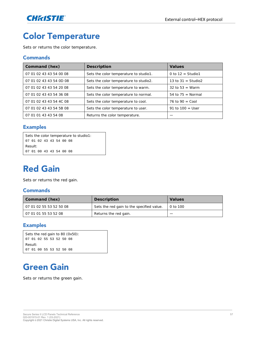

# <span id="page-56-0"></span>**Color Temperature**

Sets or returns the color temperature.

#### **Commands**

| Command (hex)           | Description                            | Values                |
|-------------------------|----------------------------------------|-----------------------|
| 07 01 02 43 43 54 00 08 | Sets the color temperature to studio1. | 0 to $12 =$ Studio1   |
| 07 01 02 43 43 54 0D 08 | Sets the color temperature to studio2. | 13 to $31 =$ Studio2  |
| 07 01 02 43 43 54 20 08 | Sets the color temperature to warm.    | 32 to 53 = Warm       |
| 07 01 02 43 43 54 36 08 | Sets the color temperature to normal.  | $54$ to $75$ = Normal |
| 07 01 02 43 43 54 4C 08 | Sets the color temperature to cool.    | 76 to $90 =$ Cool     |
| 07 01 02 43 43 54 5B 08 | Sets the color temperature to user.    | 91 to $100 =$ User    |
| 07 01 01 43 43 54 08    | Returns the color temperature.         |                       |

#### **Examples**

```
Sets the color temperature to studio1:
07 01 02 43 43 54 00 08
Result:
07 01 00 43 43 54 00 08
```
### <span id="page-56-1"></span>**Red Gain**

Sets or returns the red gain.

#### **Commands**

| Command (hex)           | Description                               | Values   |
|-------------------------|-------------------------------------------|----------|
| 07 01 02 55 53 52 50 08 | Sets the red gain to the specified value. | 0 to 100 |
| 07 01 01 55 53 52 08    | Returns the red gain.                     |          |

#### **Examples**

```
Sets the red gain to 80 (0x50):
07 01 02 55 53 52 50 08
Result:
07 01 00 55 53 52 50 08
```
## <span id="page-56-2"></span>**Green Gain**

Sets or returns the green gain.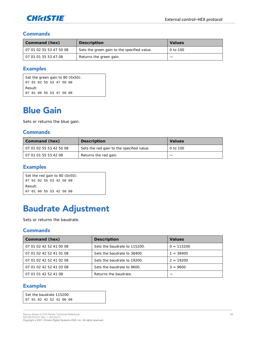

| Command (hex)           | Description                                 | Values   |
|-------------------------|---------------------------------------------|----------|
| 07 01 02 55 53 47 50 08 | Sets the green gain to the specified value. | 0 to 100 |
| 07 01 01 55 53 47 08    | Returns the green gain.                     |          |

#### **Examples**

Set the green gain to 80 (0x50): 07 01 02 55 53 47 50 08 Result: 07 01 00 55 53 47 50 08

### <span id="page-57-0"></span>**Blue Gain**

Sets or returns the blue gain.

#### **Commands**

| Command (hex)           | Description                               | Values   |
|-------------------------|-------------------------------------------|----------|
| 07 01 02 55 53 42 50 08 | Sets the red gain to the specified value. | 0 to 100 |
| 07 01 01 55 53 42 08    | Returns the red gain.                     |          |

#### **Examples**

|         |  |                         |  | Set the red gain to 80 (0x50): |
|---------|--|-------------------------|--|--------------------------------|
|         |  | 07 01 02 55 53 42 50 08 |  |                                |
| Result: |  |                         |  |                                |
|         |  | 07 01 00 55 53 42 50 08 |  |                                |

### <span id="page-57-1"></span>**Baudrate Adjustment**

Sets or returns the baudrate.

#### **Commands**

| Command (hex)           | Description                  | Values       |
|-------------------------|------------------------------|--------------|
| 07 01 02 42 52 41 00 08 | Sets the baudrate to 115200. | $0 = 115200$ |
| 07 01 02 42 52 41 01 08 | Sets the baudrate to 38400.  | $= 38400$    |
| 07 01 02 42 52 41 02 08 | Sets the baudrate to 19200.  | $2 = 19200$  |
| 07 01 02 42 52 41 03 08 | Sets the baudrate to 9600.   | $3 = 9600$   |
| 07 01 01 42 52 41 08    | Returns the baudrate.        |              |

#### **Examples**

Set the baudrate 115200: 07 01 02 42 52 41 00 08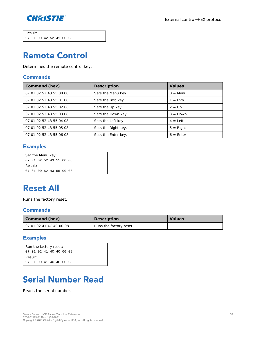

Result: 07 01 00 42 52 41 00 08

### <span id="page-58-0"></span>**Remote Control**

Determines the remote control key.

#### **Commands**

| Command (hex)           | Description         | Values      |
|-------------------------|---------------------|-------------|
| 07 01 02 52 43 55 00 08 | Sets the Menu key.  | $Q = M$ enu |
| 07 01 02 52 43 55 01 08 | Sets the Info key.  | $1 = lnfo$  |
| 07 01 02 52 43 55 02 08 | Sets the Up key.    | $2 = Up$    |
| 07 01 02 52 43 55 03 08 | Sets the Down key.  | $3 = Down$  |
| 07 01 02 52 43 55 04 08 | Sets the Left key.  | $4 = 1$ eft |
| 07 01 02 52 43 55 05 08 | Sets the Right key. | $5 =$ Right |
| 07 01 02 52 43 55 06 08 | Sets the Enter key. | $6 =$ Enter |

#### **Examples**

|         |  | Set the Menu key:       |  |  |  |  |
|---------|--|-------------------------|--|--|--|--|
|         |  | 07 01 02 52 43 55 00 08 |  |  |  |  |
| Result: |  |                         |  |  |  |  |
|         |  | 07 01 00 52 43 55 00 08 |  |  |  |  |

### <span id="page-58-1"></span>**Reset All**

Runs the factory reset.

#### **Commands**

| Command (hex)           | Description             | Values |
|-------------------------|-------------------------|--------|
| 07 01 02 41 4C 4C 00 08 | Runs the factory reset. | _      |

#### **Examples**

|                         |  | Run the factory reset:  |  |  |  |  |
|-------------------------|--|-------------------------|--|--|--|--|
|                         |  | 07 01 02 41 4C 4C 00 08 |  |  |  |  |
| Result:                 |  |                         |  |  |  |  |
| 07 01 00 41 4C 4C 00 08 |  |                         |  |  |  |  |

# <span id="page-58-2"></span>**Serial Number Read**

Reads the serial number.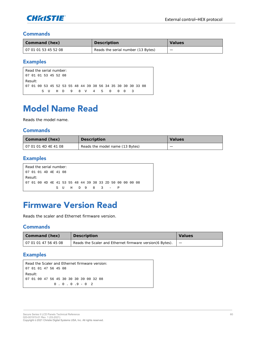

| Command (hex)        | Description                        | Values |
|----------------------|------------------------------------|--------|
| 07 01 01 53 45 52 08 | Reads the serial number (13 Bytes) | _      |

#### **Examples**

```
Read the serial number:
07 01 01 53 45 52 08
Result:
07 01 00 53 45 52 53 55 48 44 39 38 56 34 35 30 30 30 33 08
        S U H D 9 8 V 4 5 0 0 0 3
```
### <span id="page-59-0"></span>**Model Name Read**

Reads the model name.

#### **Commands**

| Command (hex)        | Description                     | <b>Values</b> |
|----------------------|---------------------------------|---------------|
| 07 01 01 4D 4E 41 08 | Reads the model name (13 Bytes) | _             |

#### **Examples**

```
Read the serial number:
07 01 01 4D 4E 41 08
Result:
07 01 00 4D 4E 41 53 55 48 44 39 38 33 2D 50 00 00 00 08
         S U H D 9 8 3 - P
```
### <span id="page-59-1"></span>**Firmware Version Read**

Reads the scaler and Ethernet firmware version.

#### **Commands**

| Command (hex)        | Description                                               | Values |
|----------------------|-----------------------------------------------------------|--------|
| 07 01 01 47 56 45 08 | Reads the Scaler and Ethernet firmware version (6 Bytes). |        |

#### **Examples**

```
Read the Scaler and Ethernet firmware version:
07 01 01 47 56 45 08
Result:
07 01 00 47 56 45 30 30 30 39 00 32 08
              0 \tcdot 0 \tcdot 0 \tcdot 9 = 0 2
```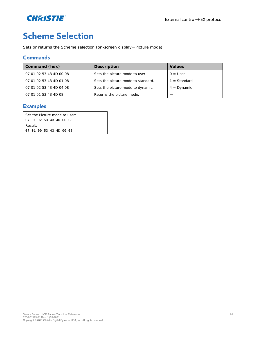

## <span id="page-60-0"></span>**Scheme Selection**

Sets or returns the Scheme selection (on-screen display—Picture mode).

#### **Commands**

| Command (hex)           | Description                        | Values         |
|-------------------------|------------------------------------|----------------|
| 07 01 02 53 43 4D 00 08 | Sets the picture mode to user.     | $0 = User$     |
| 07 01 02 53 43 4D 01 08 | Sets the picture mode to standard. | $1 = Standard$ |
| 07 01 02 53 43 4D 04 08 | Sets the picture mode to dynamic.  | $4 =$ Dynamic  |
| 07 01 01 53 43 4D 08    | Returns the picture mode.          |                |

#### **Examples**

Set the Picture mode to user: 07 01 02 53 43 4D 00 08 Result: 07 01 00 53 43 4D 00 08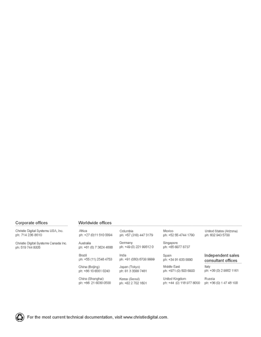#### Corporate offices

#### Worldwide offices

|  |                  | Christie Digital Systems USA, Inc. |  |
|--|------------------|------------------------------------|--|
|  | ph: 714 236 8610 |                                    |  |

Christie Digital Systems Canada Inc.<br>ph: 519 744 8005

| Africa                  | Columbia                | Mexico                   | United States (Arizona) |
|-------------------------|-------------------------|--------------------------|-------------------------|
| ph: +27 (0)11 510 0094  | ph: +57 (318) 447 3179  | ph: +52 55 4744 1790     | ph: 602 943 5700        |
| Australia               | Germany                 | Singapore                |                         |
| ph: +61 (0) 7 3624 4888 | ph: +49 (0) 221 995120  | ph: +65 6877 8737        |                         |
| Brazil                  | India                   | Spain                    | Independent sales       |
| ph: +55 (11) 2548 4753  | ph: +91 (080) 6708 9999 | ph: +34 91 633 9990      | consultant offices      |
| China (Beijing)         | Japan (Tokyo)           | Middle East              | Italy                   |
| ph: +86 10 6561 0240    | ph: 81 3 3599 7481      | ph: +971 (0) 503 6800    | ph: +39 (0) 2 9902 1161 |
| China (Shanghai)        | Korea (Seoul)           | United Kingdom           | Russia                  |
| ph: +86 21 6030 0500    | ph: +62 2 702 1601      | ph: +44 (0) 118 977 8000 | ph: +36 (0) 1 47 48 100 |